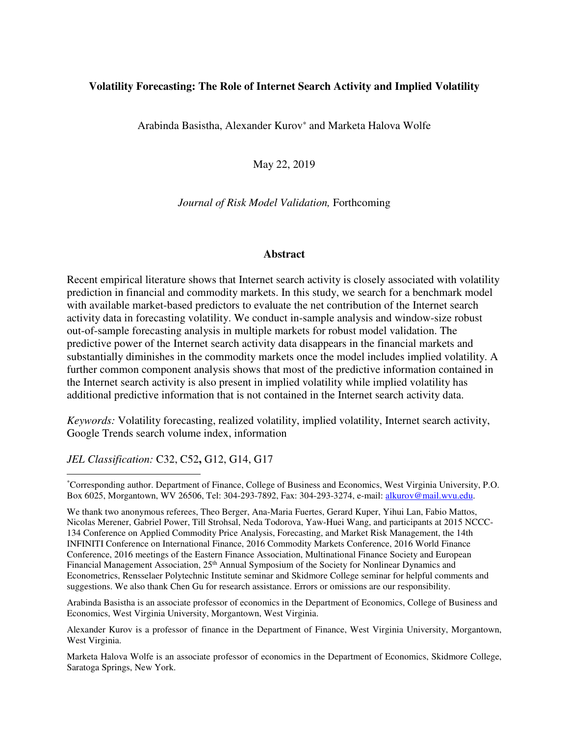# **Volatility Forecasting: The Role of Internet Search Activity and Implied Volatility**

Arabinda Basistha, Alexander Kurov<sup>∗</sup> and Marketa Halova Wolfe

May 22, 2019

*Journal of Risk Model Validation,* Forthcoming

## **Abstract**

Recent empirical literature shows that Internet search activity is closely associated with volatility prediction in financial and commodity markets. In this study, we search for a benchmark model with available market-based predictors to evaluate the net contribution of the Internet search activity data in forecasting volatility. We conduct in-sample analysis and window-size robust out-of-sample forecasting analysis in multiple markets for robust model validation. The predictive power of the Internet search activity data disappears in the financial markets and substantially diminishes in the commodity markets once the model includes implied volatility. A further common component analysis shows that most of the predictive information contained in the Internet search activity is also present in implied volatility while implied volatility has additional predictive information that is not contained in the Internet search activity data.

*Keywords:* Volatility forecasting, realized volatility, implied volatility, Internet search activity, Google Trends search volume index, information

*JEL Classification:* C32, C52**,** G12, G14, G17

-

\*Corresponding author. Department of Finance, College of Business and Economics, West Virginia University, P.O. Box 6025, Morgantown, WV 26506, Tel: 304-293-7892, Fax: 304-293-3274, e-mail: alkurov@mail.wvu.edu.

We thank two anonymous referees, Theo Berger, Ana-Maria Fuertes, Gerard Kuper, Yihui Lan, Fabio Mattos, Nicolas Merener, Gabriel Power, Till Strohsal, Neda Todorova, Yaw-Huei Wang, and participants at 2015 NCCC-134 Conference on Applied Commodity Price Analysis, Forecasting, and Market Risk Management, the 14th INFINITI Conference on International Finance, 2016 Commodity Markets Conference, 2016 World Finance Conference, 2016 meetings of the Eastern Finance Association, Multinational Finance Society and European Financial Management Association, 25<sup>th</sup> Annual Symposium of the Society for Nonlinear Dynamics and Econometrics, Rensselaer Polytechnic Institute seminar and Skidmore College seminar for helpful comments and suggestions. We also thank Chen Gu for research assistance. Errors or omissions are our responsibility.

Arabinda Basistha is an associate professor of economics in the Department of Economics, College of Business and Economics, West Virginia University, Morgantown, West Virginia.

Alexander Kurov is a professor of finance in the Department of Finance, West Virginia University, Morgantown, West Virginia.

Marketa Halova Wolfe is an associate professor of economics in the Department of Economics, Skidmore College, Saratoga Springs, New York.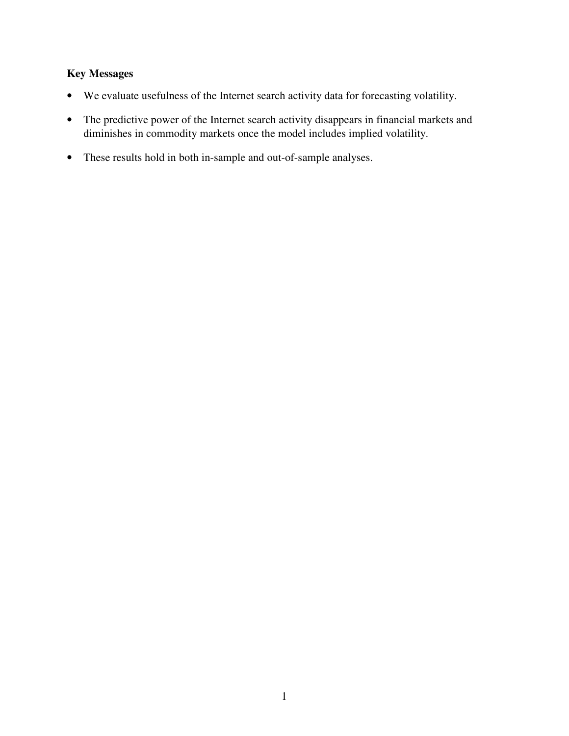# **Key Messages**

- We evaluate usefulness of the Internet search activity data for forecasting volatility.
- The predictive power of the Internet search activity disappears in financial markets and diminishes in commodity markets once the model includes implied volatility.
- These results hold in both in-sample and out-of-sample analyses.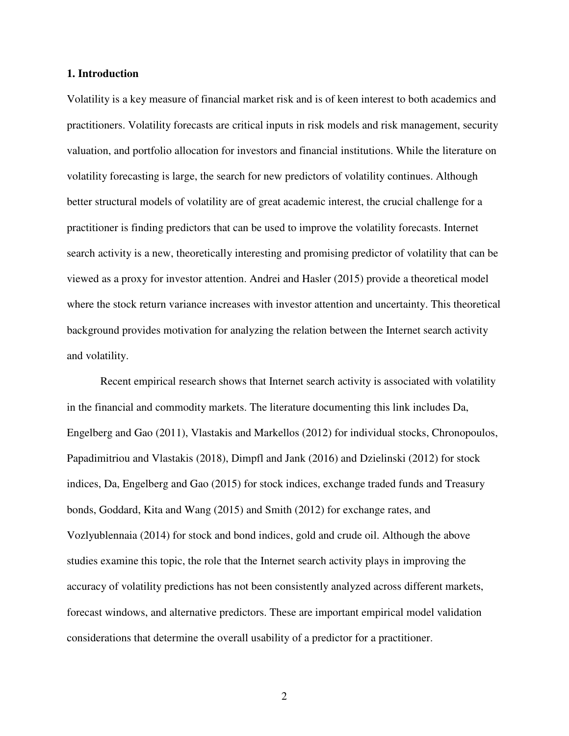### **1. Introduction**

Volatility is a key measure of financial market risk and is of keen interest to both academics and practitioners. Volatility forecasts are critical inputs in risk models and risk management, security valuation, and portfolio allocation for investors and financial institutions. While the literature on volatility forecasting is large, the search for new predictors of volatility continues. Although better structural models of volatility are of great academic interest, the crucial challenge for a practitioner is finding predictors that can be used to improve the volatility forecasts. Internet search activity is a new, theoretically interesting and promising predictor of volatility that can be viewed as a proxy for investor attention. Andrei and Hasler (2015) provide a theoretical model where the stock return variance increases with investor attention and uncertainty. This theoretical background provides motivation for analyzing the relation between the Internet search activity and volatility.

Recent empirical research shows that Internet search activity is associated with volatility in the financial and commodity markets. The literature documenting this link includes Da, Engelberg and Gao (2011), Vlastakis and Markellos (2012) for individual stocks, Chronopoulos, Papadimitriou and Vlastakis (2018), Dimpfl and Jank (2016) and Dzielinski (2012) for stock indices, Da, Engelberg and Gao (2015) for stock indices, exchange traded funds and Treasury bonds, Goddard, Kita and Wang (2015) and Smith (2012) for exchange rates, and Vozlyublennaia (2014) for stock and bond indices, gold and crude oil. Although the above studies examine this topic, the role that the Internet search activity plays in improving the accuracy of volatility predictions has not been consistently analyzed across different markets, forecast windows, and alternative predictors. These are important empirical model validation considerations that determine the overall usability of a predictor for a practitioner.

2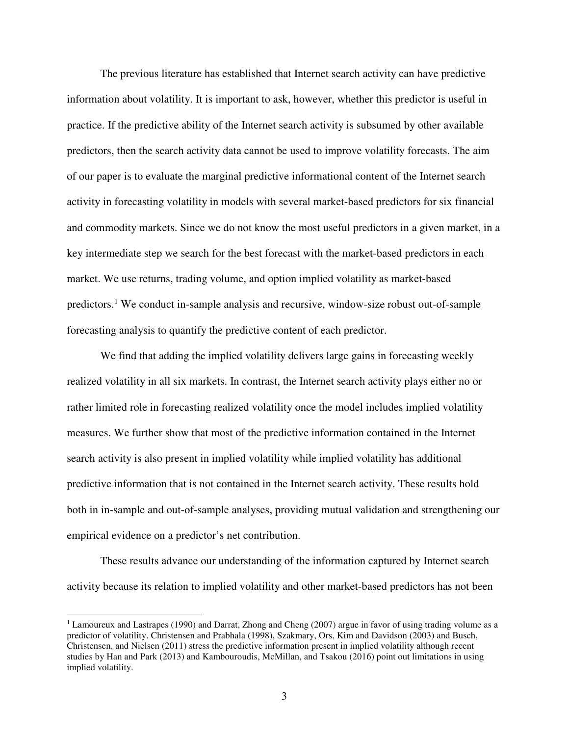The previous literature has established that Internet search activity can have predictive information about volatility. It is important to ask, however, whether this predictor is useful in practice. If the predictive ability of the Internet search activity is subsumed by other available predictors, then the search activity data cannot be used to improve volatility forecasts. The aim of our paper is to evaluate the marginal predictive informational content of the Internet search activity in forecasting volatility in models with several market-based predictors for six financial and commodity markets. Since we do not know the most useful predictors in a given market, in a key intermediate step we search for the best forecast with the market-based predictors in each market. We use returns, trading volume, and option implied volatility as market-based predictors.<sup>1</sup> We conduct in-sample analysis and recursive, window-size robust out-of-sample forecasting analysis to quantify the predictive content of each predictor.

We find that adding the implied volatility delivers large gains in forecasting weekly realized volatility in all six markets. In contrast, the Internet search activity plays either no or rather limited role in forecasting realized volatility once the model includes implied volatility measures. We further show that most of the predictive information contained in the Internet search activity is also present in implied volatility while implied volatility has additional predictive information that is not contained in the Internet search activity. These results hold both in in-sample and out-of-sample analyses, providing mutual validation and strengthening our empirical evidence on a predictor's net contribution.

These results advance our understanding of the information captured by Internet search activity because its relation to implied volatility and other market-based predictors has not been

 $\overline{a}$ 

<sup>&</sup>lt;sup>1</sup> Lamoureux and Lastrapes (1990) and Darrat, Zhong and Cheng (2007) argue in favor of using trading volume as a predictor of volatility. Christensen and Prabhala (1998), Szakmary, Ors, Kim and Davidson (2003) and Busch, Christensen, and Nielsen (2011) stress the predictive information present in implied volatility although recent studies by Han and Park (2013) and Kambouroudis, McMillan, and Tsakou (2016) point out limitations in using implied volatility.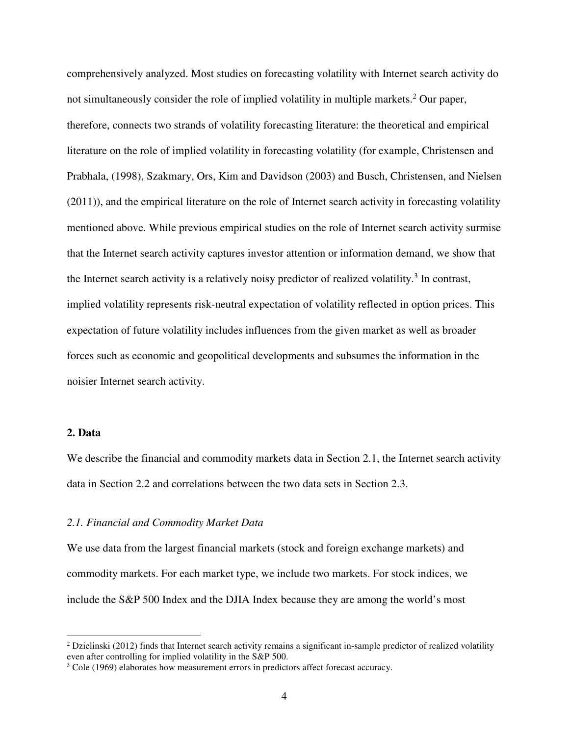comprehensively analyzed. Most studies on forecasting volatility with Internet search activity do not simultaneously consider the role of implied volatility in multiple markets.<sup>2</sup> Our paper, therefore, connects two strands of volatility forecasting literature: the theoretical and empirical literature on the role of implied volatility in forecasting volatility (for example, Christensen and Prabhala, (1998), Szakmary, Ors, Kim and Davidson (2003) and Busch, Christensen, and Nielsen (2011)), and the empirical literature on the role of Internet search activity in forecasting volatility mentioned above. While previous empirical studies on the role of Internet search activity surmise that the Internet search activity captures investor attention or information demand, we show that the Internet search activity is a relatively noisy predictor of realized volatility.<sup>3</sup> In contrast, implied volatility represents risk-neutral expectation of volatility reflected in option prices. This expectation of future volatility includes influences from the given market as well as broader forces such as economic and geopolitical developments and subsumes the information in the noisier Internet search activity.

## **2. Data**

 $\overline{a}$ 

We describe the financial and commodity markets data in Section 2.1, the Internet search activity data in Section 2.2 and correlations between the two data sets in Section 2.3.

## *2.1. Financial and Commodity Market Data*

We use data from the largest financial markets (stock and foreign exchange markets) and commodity markets. For each market type, we include two markets. For stock indices, we include the S&P 500 Index and the DJIA Index because they are among the world's most

 $2$  Dzielinski (2012) finds that Internet search activity remains a significant in-sample predictor of realized volatility even after controlling for implied volatility in the S&P 500.

<sup>&</sup>lt;sup>3</sup> Cole (1969) elaborates how measurement errors in predictors affect forecast accuracy.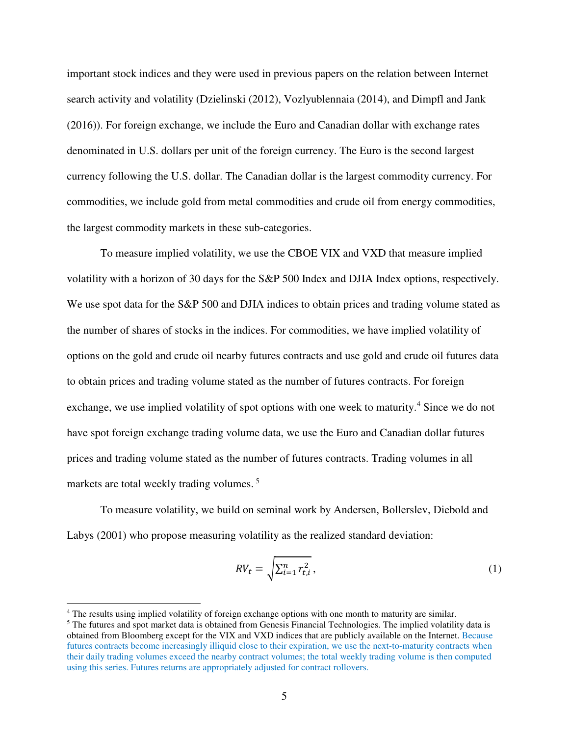important stock indices and they were used in previous papers on the relation between Internet search activity and volatility (Dzielinski (2012), Vozlyublennaia (2014), and Dimpfl and Jank (2016)). For foreign exchange, we include the Euro and Canadian dollar with exchange rates denominated in U.S. dollars per unit of the foreign currency. The Euro is the second largest currency following the U.S. dollar. The Canadian dollar is the largest commodity currency. For commodities, we include gold from metal commodities and crude oil from energy commodities, the largest commodity markets in these sub-categories.

To measure implied volatility, we use the CBOE VIX and VXD that measure implied volatility with a horizon of 30 days for the S&P 500 Index and DJIA Index options, respectively. We use spot data for the S&P 500 and DJIA indices to obtain prices and trading volume stated as the number of shares of stocks in the indices. For commodities, we have implied volatility of options on the gold and crude oil nearby futures contracts and use gold and crude oil futures data to obtain prices and trading volume stated as the number of futures contracts. For foreign exchange, we use implied volatility of spot options with one week to maturity.<sup>4</sup> Since we do not have spot foreign exchange trading volume data, we use the Euro and Canadian dollar futures prices and trading volume stated as the number of futures contracts. Trading volumes in all markets are total weekly trading volumes.<sup>5</sup>

To measure volatility, we build on seminal work by Andersen, Bollerslev, Diebold and Labys (2001) who propose measuring volatility as the realized standard deviation:

$$
RV_t = \sqrt{\sum_{i=1}^n r_{t,i}^2},
$$
 (1)

 $\overline{a}$ 

<sup>&</sup>lt;sup>4</sup> The results using implied volatility of foreign exchange options with one month to maturity are similar.

<sup>&</sup>lt;sup>5</sup> The futures and spot market data is obtained from Genesis Financial Technologies. The implied volatility data is obtained from Bloomberg except for the VIX and VXD indices that are publicly available on the Internet. Because futures contracts become increasingly illiquid close to their expiration, we use the next-to-maturity contracts when their daily trading volumes exceed the nearby contract volumes; the total weekly trading volume is then computed using this series. Futures returns are appropriately adjusted for contract rollovers.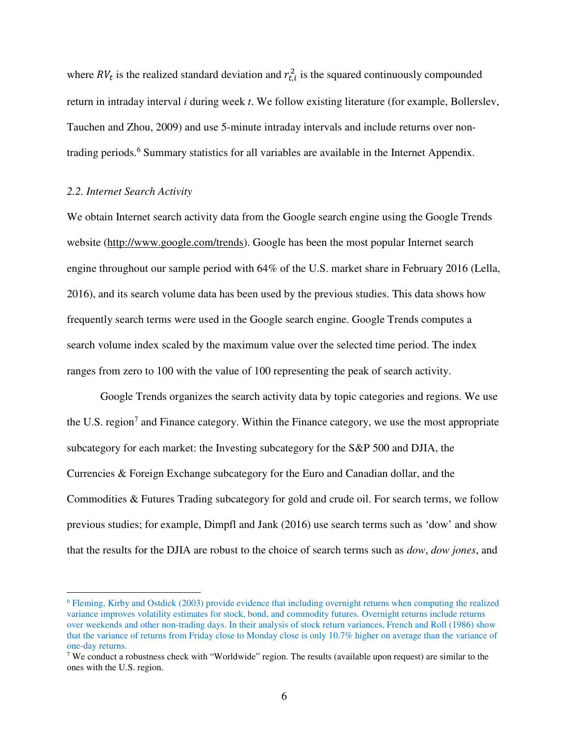where  $RV_t$  is the realized standard deviation and  $r_{t,i}^2$  is the squared continuously compounded return in intraday interval *i* during week *t*. We follow existing literature (for example, Bollerslev, Tauchen and Zhou, 2009) and use 5-minute intraday intervals and include returns over nontrading periods.<sup>6</sup> Summary statistics for all variables are available in the Internet Appendix.

## *2.2. Internet Search Activity*

-

We obtain Internet search activity data from the Google search engine using the Google Trends website (http://www.google.com/trends). Google has been the most popular Internet search engine throughout our sample period with 64% of the U.S. market share in February 2016 (Lella, 2016), and its search volume data has been used by the previous studies. This data shows how frequently search terms were used in the Google search engine. Google Trends computes a search volume index scaled by the maximum value over the selected time period. The index ranges from zero to 100 with the value of 100 representing the peak of search activity.

Google Trends organizes the search activity data by topic categories and regions. We use the U.S. region<sup>7</sup> and Finance category. Within the Finance category, we use the most appropriate subcategory for each market: the Investing subcategory for the S&P 500 and DJIA, the Currencies & Foreign Exchange subcategory for the Euro and Canadian dollar, and the Commodities & Futures Trading subcategory for gold and crude oil. For search terms, we follow previous studies; for example, Dimpfl and Jank (2016) use search terms such as 'dow' and show that the results for the DJIA are robust to the choice of search terms such as *dow*, *dow jones*, and

<sup>6</sup> Fleming, Kirby and Ostdiek (2003) provide evidence that including overnight returns when computing the realized variance improves volatility estimates for stock, bond, and commodity futures. Overnight returns include returns over weekends and other non-trading days. In their analysis of stock return variances, French and Roll (1986) show that the variance of returns from Friday close to Monday close is only 10.7% higher on average than the variance of one-day returns.

<sup>&</sup>lt;sup>7</sup> We conduct a robustness check with "Worldwide" region. The results (available upon request) are similar to the ones with the U.S. region.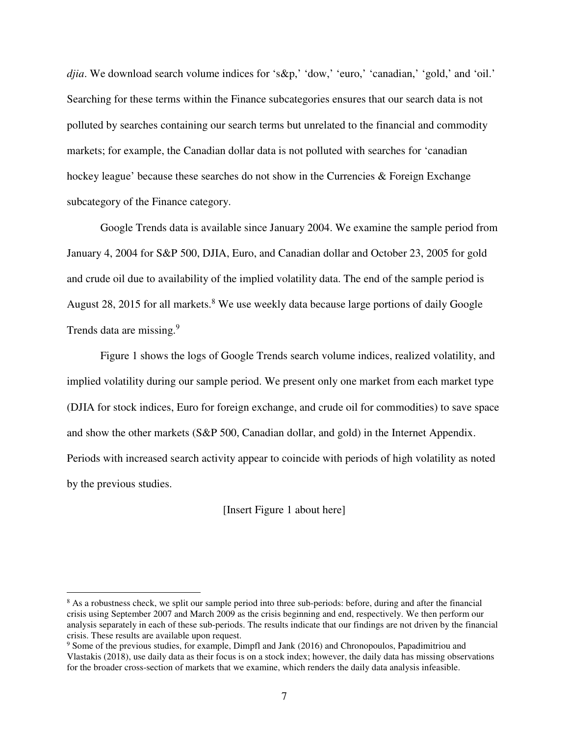*djia*. We download search volume indices for 's&p,' 'dow,' 'euro,' 'canadian,' 'gold,' and 'oil.' Searching for these terms within the Finance subcategories ensures that our search data is not polluted by searches containing our search terms but unrelated to the financial and commodity markets; for example, the Canadian dollar data is not polluted with searches for 'canadian hockey league' because these searches do not show in the Currencies & Foreign Exchange subcategory of the Finance category.

Google Trends data is available since January 2004. We examine the sample period from January 4, 2004 for S&P 500, DJIA, Euro, and Canadian dollar and October 23, 2005 for gold and crude oil due to availability of the implied volatility data. The end of the sample period is August 28, 2015 for all markets.<sup>8</sup> We use weekly data because large portions of daily Google Trends data are missing.<sup>9</sup>

Figure 1 shows the logs of Google Trends search volume indices, realized volatility, and implied volatility during our sample period. We present only one market from each market type (DJIA for stock indices, Euro for foreign exchange, and crude oil for commodities) to save space and show the other markets (S&P 500, Canadian dollar, and gold) in the Internet Appendix. Periods with increased search activity appear to coincide with periods of high volatility as noted by the previous studies.

[Insert Figure 1 about here]

-

<sup>&</sup>lt;sup>8</sup> As a robustness check, we split our sample period into three sub-periods: before, during and after the financial crisis using September 2007 and March 2009 as the crisis beginning and end, respectively. We then perform our analysis separately in each of these sub-periods. The results indicate that our findings are not driven by the financial crisis. These results are available upon request.

<sup>&</sup>lt;sup>9</sup> Some of the previous studies, for example, Dimpfl and Jank (2016) and Chronopoulos, Papadimitriou and Vlastakis (2018), use daily data as their focus is on a stock index; however, the daily data has missing observations for the broader cross-section of markets that we examine, which renders the daily data analysis infeasible.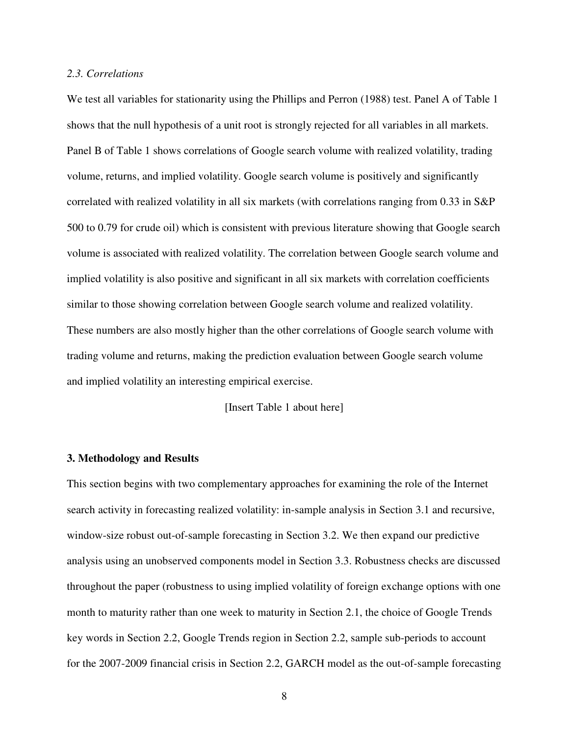## *2.3. Correlations*

We test all variables for stationarity using the Phillips and Perron (1988) test. Panel A of Table 1 shows that the null hypothesis of a unit root is strongly rejected for all variables in all markets. Panel B of Table 1 shows correlations of Google search volume with realized volatility, trading volume, returns, and implied volatility. Google search volume is positively and significantly correlated with realized volatility in all six markets (with correlations ranging from 0.33 in S&P 500 to 0.79 for crude oil) which is consistent with previous literature showing that Google search volume is associated with realized volatility. The correlation between Google search volume and implied volatility is also positive and significant in all six markets with correlation coefficients similar to those showing correlation between Google search volume and realized volatility. These numbers are also mostly higher than the other correlations of Google search volume with trading volume and returns, making the prediction evaluation between Google search volume and implied volatility an interesting empirical exercise.

[Insert Table 1 about here]

#### **3. Methodology and Results**

This section begins with two complementary approaches for examining the role of the Internet search activity in forecasting realized volatility: in-sample analysis in Section 3.1 and recursive, window-size robust out-of-sample forecasting in Section 3.2. We then expand our predictive analysis using an unobserved components model in Section 3.3. Robustness checks are discussed throughout the paper (robustness to using implied volatility of foreign exchange options with one month to maturity rather than one week to maturity in Section 2.1, the choice of Google Trends key words in Section 2.2, Google Trends region in Section 2.2, sample sub-periods to account for the 2007-2009 financial crisis in Section 2.2, GARCH model as the out-of-sample forecasting

8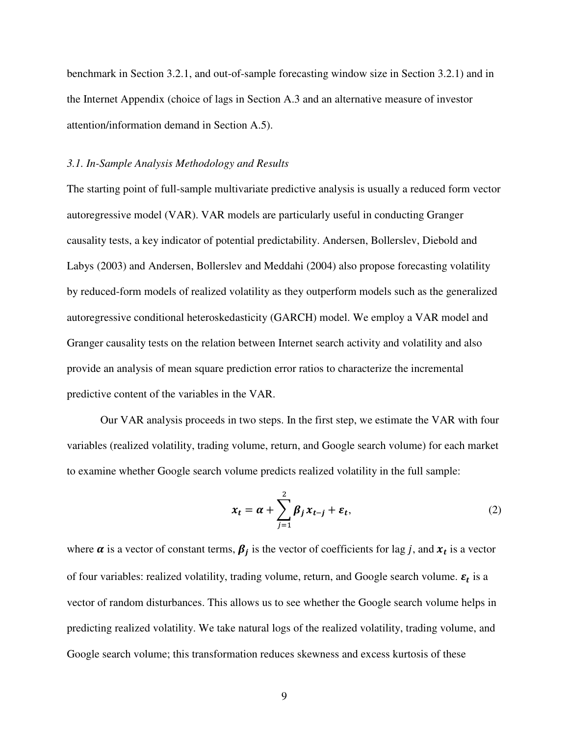benchmark in Section 3.2.1, and out-of-sample forecasting window size in Section 3.2.1) and in the Internet Appendix (choice of lags in Section A.3 and an alternative measure of investor attention/information demand in Section A.5).

## *3.1. In-Sample Analysis Methodology and Results*

The starting point of full-sample multivariate predictive analysis is usually a reduced form vector autoregressive model (VAR). VAR models are particularly useful in conducting Granger causality tests, a key indicator of potential predictability. Andersen, Bollerslev, Diebold and Labys (2003) and Andersen, Bollerslev and Meddahi (2004) also propose forecasting volatility by reduced-form models of realized volatility as they outperform models such as the generalized autoregressive conditional heteroskedasticity (GARCH) model. We employ a VAR model and Granger causality tests on the relation between Internet search activity and volatility and also provide an analysis of mean square prediction error ratios to characterize the incremental predictive content of the variables in the VAR.

Our VAR analysis proceeds in two steps. In the first step, we estimate the VAR with four variables (realized volatility, trading volume, return, and Google search volume) for each market to examine whether Google search volume predicts realized volatility in the full sample:

$$
x_t = \alpha + \sum_{j=1}^2 \beta_j x_{t-j} + \varepsilon_t,
$$
\n(2)

where  $\alpha$  is a vector of constant terms,  $\beta_j$  is the vector of coefficients for lag j, and  $x_t$  is a vector of four variables: realized volatility, trading volume, return, and Google search volume.  $\varepsilon_t$  is a vector of random disturbances. This allows us to see whether the Google search volume helps in predicting realized volatility. We take natural logs of the realized volatility, trading volume, and Google search volume; this transformation reduces skewness and excess kurtosis of these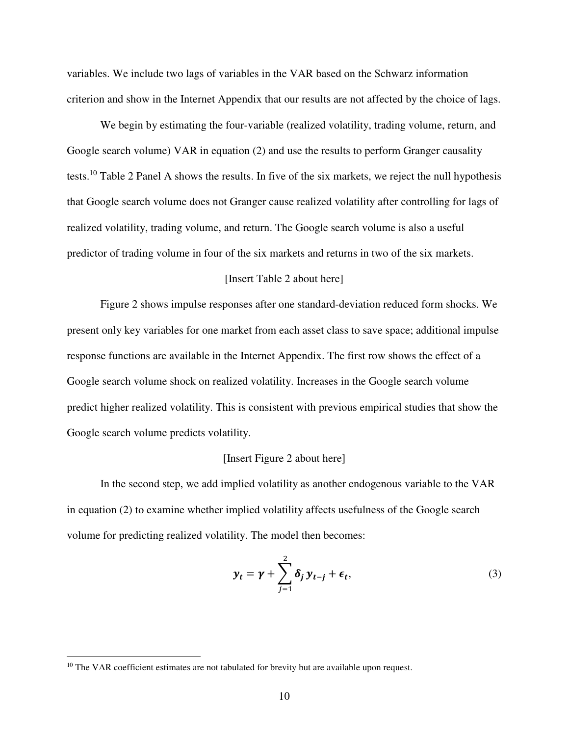variables. We include two lags of variables in the VAR based on the Schwarz information criterion and show in the Internet Appendix that our results are not affected by the choice of lags.

We begin by estimating the four-variable (realized volatility, trading volume, return, and Google search volume) VAR in equation (2) and use the results to perform Granger causality tests.<sup>10</sup> Table 2 Panel A shows the results. In five of the six markets, we reject the null hypothesis that Google search volume does not Granger cause realized volatility after controlling for lags of realized volatility, trading volume, and return. The Google search volume is also a useful predictor of trading volume in four of the six markets and returns in two of the six markets.

## [Insert Table 2 about here]

 Figure 2 shows impulse responses after one standard-deviation reduced form shocks. We present only key variables for one market from each asset class to save space; additional impulse response functions are available in the Internet Appendix. The first row shows the effect of a Google search volume shock on realized volatility. Increases in the Google search volume predict higher realized volatility. This is consistent with previous empirical studies that show the Google search volume predicts volatility.

#### [Insert Figure 2 about here]

In the second step, we add implied volatility as another endogenous variable to the VAR in equation (2) to examine whether implied volatility affects usefulness of the Google search volume for predicting realized volatility. The model then becomes:

$$
y_t = \gamma + \sum_{j=1}^2 \delta_j y_{t-j} + \epsilon_t,
$$
\n(3)

-

 $10$  The VAR coefficient estimates are not tabulated for brevity but are available upon request.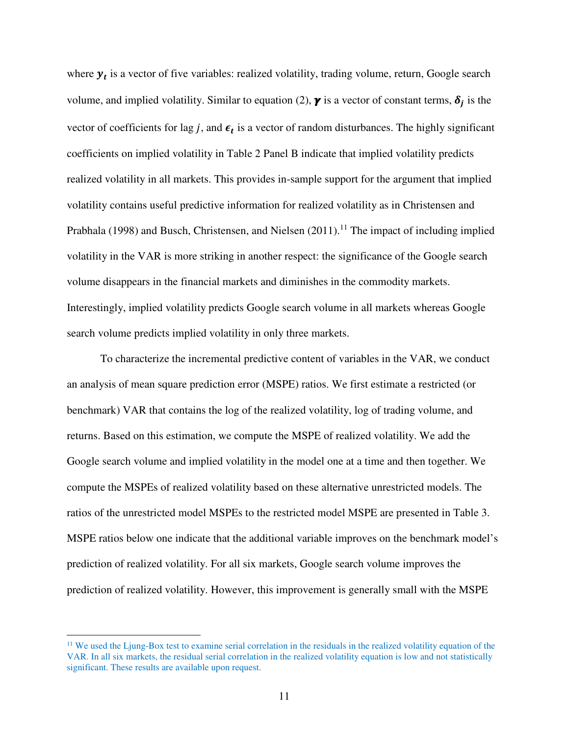where  $y_t$  is a vector of five variables: realized volatility, trading volume, return, Google search volume, and implied volatility. Similar to equation (2),  $\gamma$  is a vector of constant terms,  $\delta_j$  is the vector of coefficients for lag *j*, and  $\epsilon_t$  is a vector of random disturbances. The highly significant coefficients on implied volatility in Table 2 Panel B indicate that implied volatility predicts realized volatility in all markets. This provides in-sample support for the argument that implied volatility contains useful predictive information for realized volatility as in Christensen and Prabhala (1998) and Busch, Christensen, and Nielsen  $(2011).<sup>11</sup>$  The impact of including implied volatility in the VAR is more striking in another respect: the significance of the Google search volume disappears in the financial markets and diminishes in the commodity markets. Interestingly, implied volatility predicts Google search volume in all markets whereas Google search volume predicts implied volatility in only three markets.

To characterize the incremental predictive content of variables in the VAR, we conduct an analysis of mean square prediction error (MSPE) ratios. We first estimate a restricted (or benchmark) VAR that contains the log of the realized volatility, log of trading volume, and returns. Based on this estimation, we compute the MSPE of realized volatility. We add the Google search volume and implied volatility in the model one at a time and then together. We compute the MSPEs of realized volatility based on these alternative unrestricted models. The ratios of the unrestricted model MSPEs to the restricted model MSPE are presented in Table 3. MSPE ratios below one indicate that the additional variable improves on the benchmark model's prediction of realized volatility. For all six markets, Google search volume improves the prediction of realized volatility. However, this improvement is generally small with the MSPE

 $\overline{a}$ 

 $11$  We used the Ljung-Box test to examine serial correlation in the residuals in the realized volatility equation of the VAR. In all six markets, the residual serial correlation in the realized volatility equation is low and not statistically significant. These results are available upon request.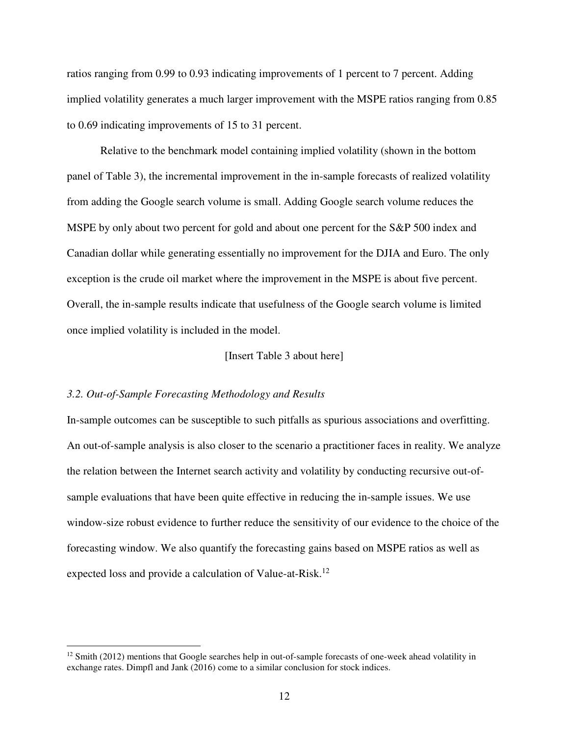ratios ranging from 0.99 to 0.93 indicating improvements of 1 percent to 7 percent. Adding implied volatility generates a much larger improvement with the MSPE ratios ranging from 0.85 to 0.69 indicating improvements of 15 to 31 percent.

Relative to the benchmark model containing implied volatility (shown in the bottom panel of Table 3), the incremental improvement in the in-sample forecasts of realized volatility from adding the Google search volume is small. Adding Google search volume reduces the MSPE by only about two percent for gold and about one percent for the S&P 500 index and Canadian dollar while generating essentially no improvement for the DJIA and Euro. The only exception is the crude oil market where the improvement in the MSPE is about five percent. Overall, the in-sample results indicate that usefulness of the Google search volume is limited once implied volatility is included in the model.

#### [Insert Table 3 about here]

## *3.2. Out-of-Sample Forecasting Methodology and Results*

<u>.</u>

In-sample outcomes can be susceptible to such pitfalls as spurious associations and overfitting. An out-of-sample analysis is also closer to the scenario a practitioner faces in reality. We analyze the relation between the Internet search activity and volatility by conducting recursive out-ofsample evaluations that have been quite effective in reducing the in-sample issues. We use window-size robust evidence to further reduce the sensitivity of our evidence to the choice of the forecasting window. We also quantify the forecasting gains based on MSPE ratios as well as expected loss and provide a calculation of Value-at-Risk.<sup>12</sup>

 $12$  Smith (2012) mentions that Google searches help in out-of-sample forecasts of one-week ahead volatility in exchange rates. Dimpfl and Jank (2016) come to a similar conclusion for stock indices.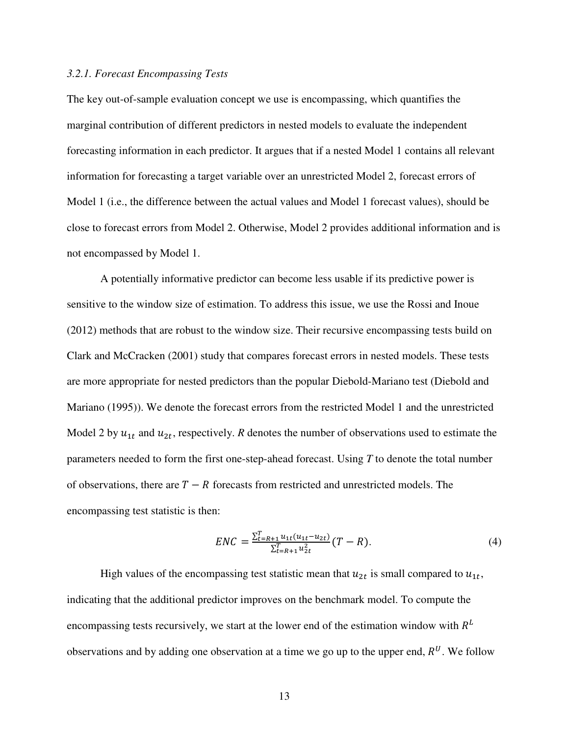## *3.2.1. Forecast Encompassing Tests*

The key out-of-sample evaluation concept we use is encompassing, which quantifies the marginal contribution of different predictors in nested models to evaluate the independent forecasting information in each predictor. It argues that if a nested Model 1 contains all relevant information for forecasting a target variable over an unrestricted Model 2, forecast errors of Model 1 (i.e., the difference between the actual values and Model 1 forecast values), should be close to forecast errors from Model 2. Otherwise, Model 2 provides additional information and is not encompassed by Model 1.

A potentially informative predictor can become less usable if its predictive power is sensitive to the window size of estimation. To address this issue, we use the Rossi and Inoue (2012) methods that are robust to the window size. Their recursive encompassing tests build on Clark and McCracken (2001) study that compares forecast errors in nested models. These tests are more appropriate for nested predictors than the popular Diebold-Mariano test (Diebold and Mariano (1995)). We denote the forecast errors from the restricted Model 1 and the unrestricted Model 2 by  $u_{1t}$  and  $u_{2t}$ , respectively. *R* denotes the number of observations used to estimate the parameters needed to form the first one-step-ahead forecast. Using *T* to denote the total number of observations, there are  $T - R$  forecasts from restricted and unrestricted models. The encompassing test statistic is then:

$$
ENC = \frac{\sum_{t=R+1}^{T} u_{1t}(u_{1t} - u_{2t})}{\sum_{t=R+1}^{T} u_{2t}^2} (T - R). \tag{4}
$$

High values of the encompassing test statistic mean that  $u_{2t}$  is small compared to  $u_{1t}$ , indicating that the additional predictor improves on the benchmark model. To compute the encompassing tests recursively, we start at the lower end of the estimation window with  $R<sup>L</sup>$ observations and by adding one observation at a time we go up to the upper end,  $R^U$ . We follow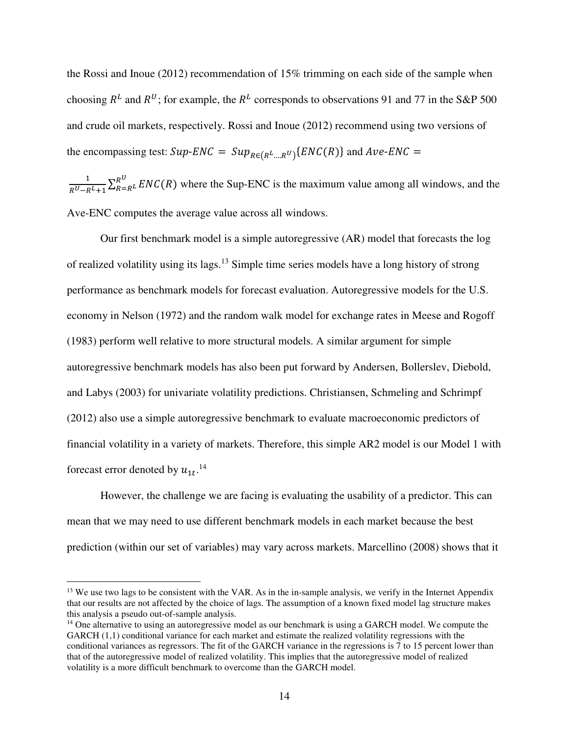the Rossi and Inoue (2012) recommendation of 15% trimming on each side of the sample when choosing  $R^L$  and  $R^U$ ; for example, the  $R^L$  corresponds to observations 91 and 77 in the S&P 500 and crude oil markets, respectively. Rossi and Inoue (2012) recommend using two versions of the encompassing test:  $Sup$ - $ENC = Sup_{R \in (R^L \dots R^U)} \{ENC(R)\}$  and  $Ave$ - $ENC =$ 

 $\mathbf{1}$  $\frac{1}{R^U - R^L + 1} \sum_{R=R^L}^{R^U} ENC(R)$  where the Sup-ENC is the maximum value among all windows, and the Ave-ENC computes the average value across all windows.

Our first benchmark model is a simple autoregressive (AR) model that forecasts the log of realized volatility using its lags.<sup>13</sup> Simple time series models have a long history of strong performance as benchmark models for forecast evaluation. Autoregressive models for the U.S. economy in Nelson (1972) and the random walk model for exchange rates in Meese and Rogoff (1983) perform well relative to more structural models. A similar argument for simple autoregressive benchmark models has also been put forward by Andersen, Bollerslev, Diebold, and Labys (2003) for univariate volatility predictions. Christiansen, Schmeling and Schrimpf (2012) also use a simple autoregressive benchmark to evaluate macroeconomic predictors of financial volatility in a variety of markets. Therefore, this simple AR2 model is our Model 1 with forecast error denoted by  $u_{1t}$ .<sup>14</sup>

However, the challenge we are facing is evaluating the usability of a predictor. This can mean that we may need to use different benchmark models in each market because the best prediction (within our set of variables) may vary across markets. Marcellino (2008) shows that it

<u>.</u>

<sup>&</sup>lt;sup>13</sup> We use two lags to be consistent with the VAR. As in the in-sample analysis, we verify in the Internet Appendix that our results are not affected by the choice of lags. The assumption of a known fixed model lag structure makes this analysis a pseudo out-of-sample analysis.

<sup>&</sup>lt;sup>14</sup> One alternative to using an autoregressive model as our benchmark is using a GARCH model. We compute the GARCH (1,1) conditional variance for each market and estimate the realized volatility regressions with the conditional variances as regressors. The fit of the GARCH variance in the regressions is 7 to 15 percent lower than that of the autoregressive model of realized volatility. This implies that the autoregressive model of realized volatility is a more difficult benchmark to overcome than the GARCH model.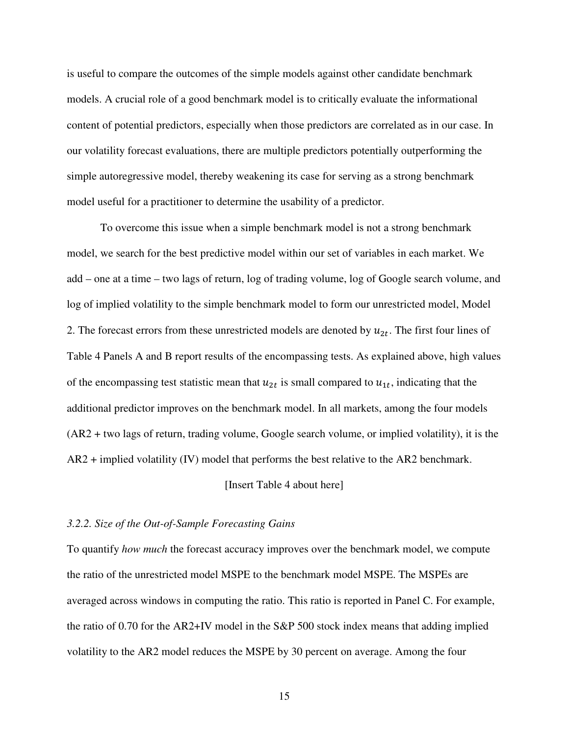is useful to compare the outcomes of the simple models against other candidate benchmark models. A crucial role of a good benchmark model is to critically evaluate the informational content of potential predictors, especially when those predictors are correlated as in our case. In our volatility forecast evaluations, there are multiple predictors potentially outperforming the simple autoregressive model, thereby weakening its case for serving as a strong benchmark model useful for a practitioner to determine the usability of a predictor.

To overcome this issue when a simple benchmark model is not a strong benchmark model, we search for the best predictive model within our set of variables in each market. We add – one at a time – two lags of return, log of trading volume, log of Google search volume, and log of implied volatility to the simple benchmark model to form our unrestricted model, Model 2. The forecast errors from these unrestricted models are denoted by  $u_{2t}$ . The first four lines of Table 4 Panels A and B report results of the encompassing tests. As explained above, high values of the encompassing test statistic mean that  $u_{2t}$  is small compared to  $u_{1t}$ , indicating that the additional predictor improves on the benchmark model. In all markets, among the four models (AR2 + two lags of return, trading volume, Google search volume, or implied volatility), it is the AR2 + implied volatility (IV) model that performs the best relative to the AR2 benchmark.

## [Insert Table 4 about here]

## *3.2.2. Size of the Out-of-Sample Forecasting Gains*

To quantify *how much* the forecast accuracy improves over the benchmark model, we compute the ratio of the unrestricted model MSPE to the benchmark model MSPE. The MSPEs are averaged across windows in computing the ratio. This ratio is reported in Panel C. For example, the ratio of 0.70 for the AR2+IV model in the S&P 500 stock index means that adding implied volatility to the AR2 model reduces the MSPE by 30 percent on average. Among the four

15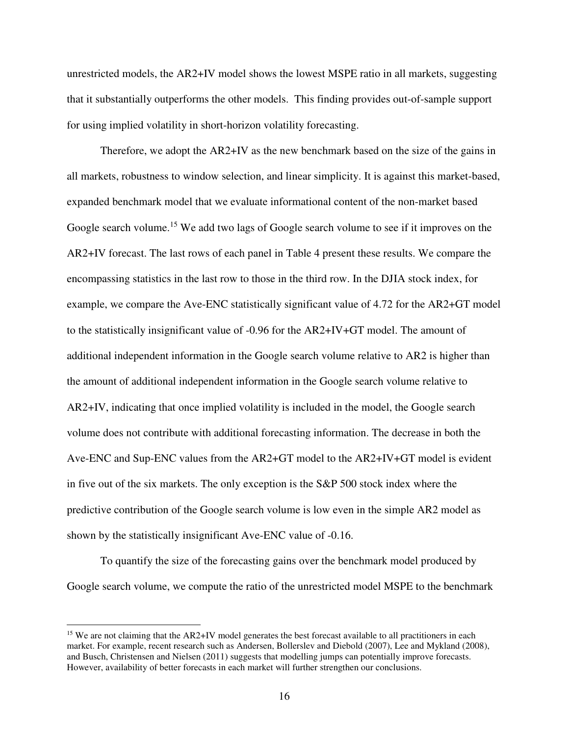unrestricted models, the AR2+IV model shows the lowest MSPE ratio in all markets, suggesting that it substantially outperforms the other models. This finding provides out-of-sample support for using implied volatility in short-horizon volatility forecasting.

Therefore, we adopt the AR2+IV as the new benchmark based on the size of the gains in all markets, robustness to window selection, and linear simplicity. It is against this market-based, expanded benchmark model that we evaluate informational content of the non-market based Google search volume.<sup>15</sup> We add two lags of Google search volume to see if it improves on the AR2+IV forecast. The last rows of each panel in Table 4 present these results. We compare the encompassing statistics in the last row to those in the third row. In the DJIA stock index, for example, we compare the Ave-ENC statistically significant value of 4.72 for the AR2+GT model to the statistically insignificant value of -0.96 for the AR2+IV+GT model. The amount of additional independent information in the Google search volume relative to AR2 is higher than the amount of additional independent information in the Google search volume relative to AR2+IV, indicating that once implied volatility is included in the model, the Google search volume does not contribute with additional forecasting information. The decrease in both the Ave-ENC and Sup-ENC values from the AR2+GT model to the AR2+IV+GT model is evident in five out of the six markets. The only exception is the S&P 500 stock index where the predictive contribution of the Google search volume is low even in the simple AR2 model as shown by the statistically insignificant Ave-ENC value of -0.16.

To quantify the size of the forecasting gains over the benchmark model produced by Google search volume, we compute the ratio of the unrestricted model MSPE to the benchmark

 $\overline{a}$ 

<sup>&</sup>lt;sup>15</sup> We are not claiming that the AR2+IV model generates the best forecast available to all practitioners in each market. For example, recent research such as Andersen, Bollerslev and Diebold (2007), Lee and Mykland (2008), and Busch, Christensen and Nielsen (2011) suggests that modelling jumps can potentially improve forecasts. However, availability of better forecasts in each market will further strengthen our conclusions.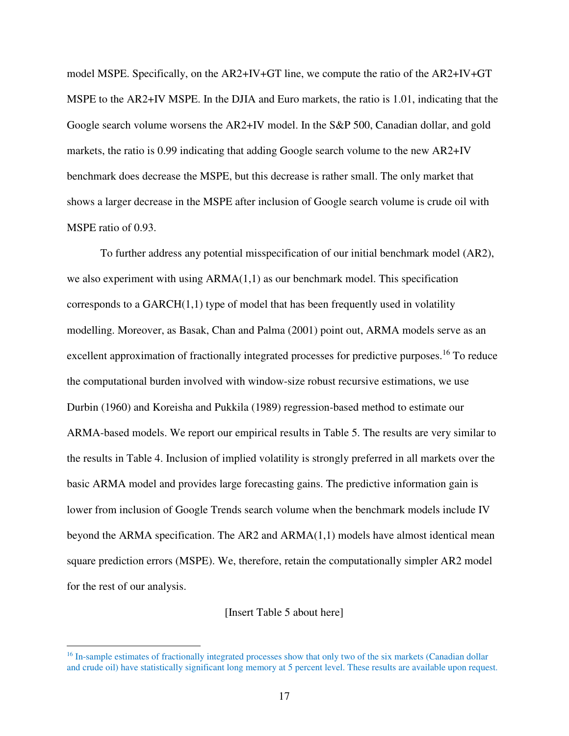model MSPE. Specifically, on the AR2+IV+GT line, we compute the ratio of the AR2+IV+GT MSPE to the AR2+IV MSPE. In the DJIA and Euro markets, the ratio is 1.01, indicating that the Google search volume worsens the AR2+IV model. In the S&P 500, Canadian dollar, and gold markets, the ratio is 0.99 indicating that adding Google search volume to the new AR2+IV benchmark does decrease the MSPE, but this decrease is rather small. The only market that shows a larger decrease in the MSPE after inclusion of Google search volume is crude oil with MSPE ratio of 0.93.

To further address any potential misspecification of our initial benchmark model (AR2), we also experiment with using ARMA(1,1) as our benchmark model. This specification corresponds to a  $GARCH(1,1)$  type of model that has been frequently used in volatility modelling. Moreover, as Basak, Chan and Palma (2001) point out, ARMA models serve as an excellent approximation of fractionally integrated processes for predictive purposes.<sup>16</sup> To reduce the computational burden involved with window-size robust recursive estimations, we use Durbin (1960) and Koreisha and Pukkila (1989) regression-based method to estimate our ARMA-based models. We report our empirical results in Table 5. The results are very similar to the results in Table 4. Inclusion of implied volatility is strongly preferred in all markets over the basic ARMA model and provides large forecasting gains. The predictive information gain is lower from inclusion of Google Trends search volume when the benchmark models include IV beyond the ARMA specification. The AR2 and ARMA(1,1) models have almost identical mean square prediction errors (MSPE). We, therefore, retain the computationally simpler AR2 model for the rest of our analysis.

## [Insert Table 5 about here]

 $\overline{a}$ 

<sup>&</sup>lt;sup>16</sup> In-sample estimates of fractionally integrated processes show that only two of the six markets (Canadian dollar and crude oil) have statistically significant long memory at 5 percent level. These results are available upon request.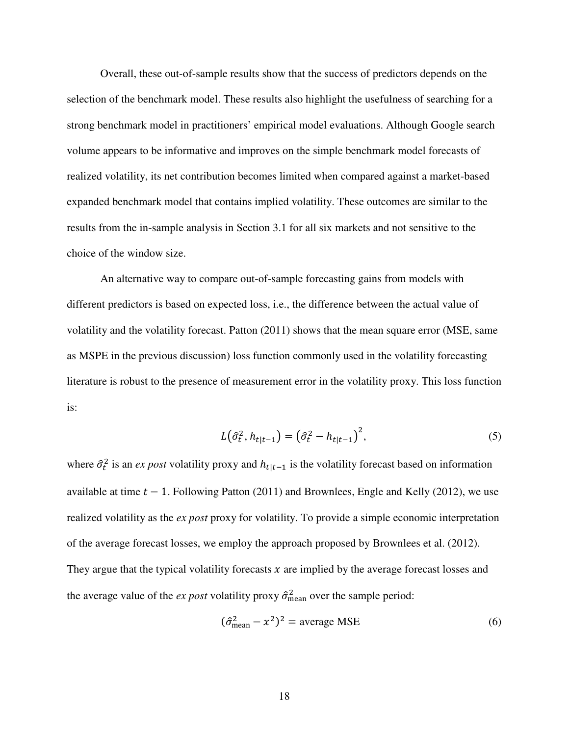Overall, these out-of-sample results show that the success of predictors depends on the selection of the benchmark model. These results also highlight the usefulness of searching for a strong benchmark model in practitioners' empirical model evaluations. Although Google search volume appears to be informative and improves on the simple benchmark model forecasts of realized volatility, its net contribution becomes limited when compared against a market-based expanded benchmark model that contains implied volatility. These outcomes are similar to the results from the in-sample analysis in Section 3.1 for all six markets and not sensitive to the choice of the window size.

An alternative way to compare out-of-sample forecasting gains from models with different predictors is based on expected loss, i.e., the difference between the actual value of volatility and the volatility forecast. Patton (2011) shows that the mean square error (MSE, same as MSPE in the previous discussion) loss function commonly used in the volatility forecasting literature is robust to the presence of measurement error in the volatility proxy. This loss function is:

$$
L(\hat{\sigma}_t^2, h_{t|t-1}) = (\hat{\sigma}_t^2 - h_{t|t-1})^2,
$$
\n(5)

where  $\hat{\sigma}_t^2$  is an *ex post* volatility proxy and  $h_{t|t-1}$  is the volatility forecast based on information available at time  $t - 1$ . Following Patton (2011) and Brownlees, Engle and Kelly (2012), we use realized volatility as the *ex post* proxy for volatility. To provide a simple economic interpretation of the average forecast losses, we employ the approach proposed by Brownlees et al. (2012). They argue that the typical volatility forecasts  $x$  are implied by the average forecast losses and the average value of the *ex post* volatility proxy  $\hat{\sigma}_{\text{mean}}^2$  over the sample period:

$$
(\hat{\sigma}_{\text{mean}}^2 - x^2)^2 = \text{average MSE} \tag{6}
$$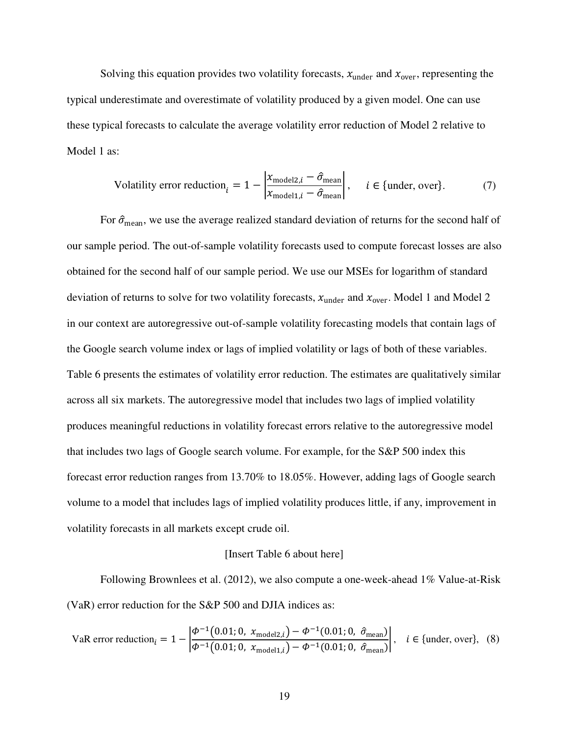Solving this equation provides two volatility forecasts,  $x_{under}$  and  $x_{over}$ , representing the typical underestimate and overestimate of volatility produced by a given model. One can use these typical forecasts to calculate the average volatility error reduction of Model 2 relative to Model 1 as:

Volatility error reduction<sub>i</sub> = 1 - 
$$
\left| \frac{x_{\text{model2},i} - \hat{\sigma}_{\text{mean}}}{x_{\text{model1},i} - \hat{\sigma}_{\text{mean}}} \right|
$$
,  $i \in \{\text{under, over}\}.$  (7)

For  $\hat{\sigma}_{\text{mean}}$ , we use the average realized standard deviation of returns for the second half of our sample period. The out-of-sample volatility forecasts used to compute forecast losses are also obtained for the second half of our sample period. We use our MSEs for logarithm of standard deviation of returns to solve for two volatility forecasts,  $x_{under}$  and  $x_{over}$ . Model 1 and Model 2 in our context are autoregressive out-of-sample volatility forecasting models that contain lags of the Google search volume index or lags of implied volatility or lags of both of these variables. Table 6 presents the estimates of volatility error reduction. The estimates are qualitatively similar across all six markets. The autoregressive model that includes two lags of implied volatility produces meaningful reductions in volatility forecast errors relative to the autoregressive model that includes two lags of Google search volume. For example, for the S&P 500 index this forecast error reduction ranges from 13.70% to 18.05%. However, adding lags of Google search volume to a model that includes lags of implied volatility produces little, if any, improvement in volatility forecasts in all markets except crude oil.

## [Insert Table 6 about here]

Following Brownlees et al. (2012), we also compute a one-week-ahead 1% Value-at-Risk (VaR) error reduction for the S&P 500 and DJIA indices as:

VaR error reduction<sub>i</sub> = 1 - 
$$
\left| \frac{\phi^{-1}(0.01; 0, x_{\text{model2},i}) - \phi^{-1}(0.01; 0, \hat{\sigma}_{\text{mean}})}{\phi^{-1}(0.01; 0, x_{\text{model1},i}) - \phi^{-1}(0.01; 0, \hat{\sigma}_{\text{mean}})} \right|
$$
,  $i \in \{\text{under, over}\},$  (8)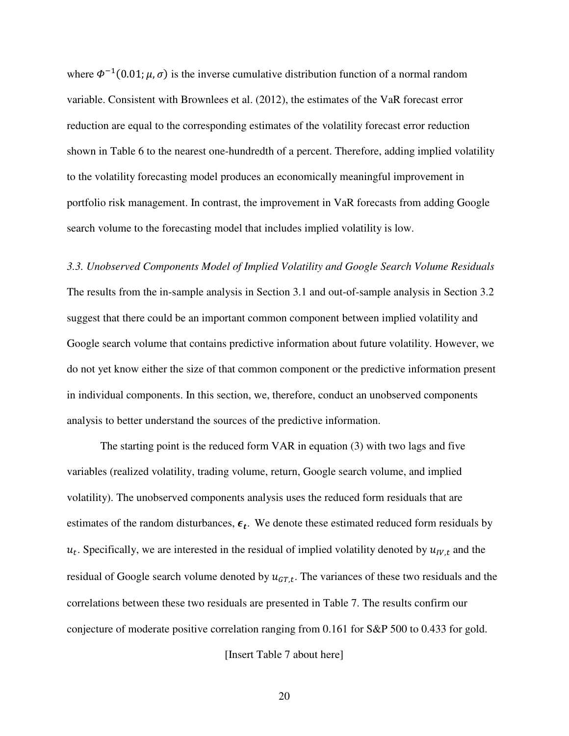where  $\Phi^{-1}(0.01; \mu, \sigma)$  is the inverse cumulative distribution function of a normal random variable. Consistent with Brownlees et al. (2012), the estimates of the VaR forecast error reduction are equal to the corresponding estimates of the volatility forecast error reduction shown in Table 6 to the nearest one-hundredth of a percent. Therefore, adding implied volatility to the volatility forecasting model produces an economically meaningful improvement in portfolio risk management. In contrast, the improvement in VaR forecasts from adding Google search volume to the forecasting model that includes implied volatility is low.

*3.3. Unobserved Components Model of Implied Volatility and Google Search Volume Residuals*  The results from the in-sample analysis in Section 3.1 and out-of-sample analysis in Section 3.2 suggest that there could be an important common component between implied volatility and Google search volume that contains predictive information about future volatility. However, we do not yet know either the size of that common component or the predictive information present in individual components. In this section, we, therefore, conduct an unobserved components analysis to better understand the sources of the predictive information.

The starting point is the reduced form VAR in equation (3) with two lags and five variables (realized volatility, trading volume, return, Google search volume, and implied volatility). The unobserved components analysis uses the reduced form residuals that are estimates of the random disturbances,  $\epsilon_t$ . We denote these estimated reduced form residuals by  $u_t$ . Specifically, we are interested in the residual of implied volatility denoted by  $u_{IV,t}$  and the residual of Google search volume denoted by  $u_{GT,t}$ . The variances of these two residuals and the correlations between these two residuals are presented in Table 7. The results confirm our conjecture of moderate positive correlation ranging from 0.161 for S&P 500 to 0.433 for gold.

[Insert Table 7 about here]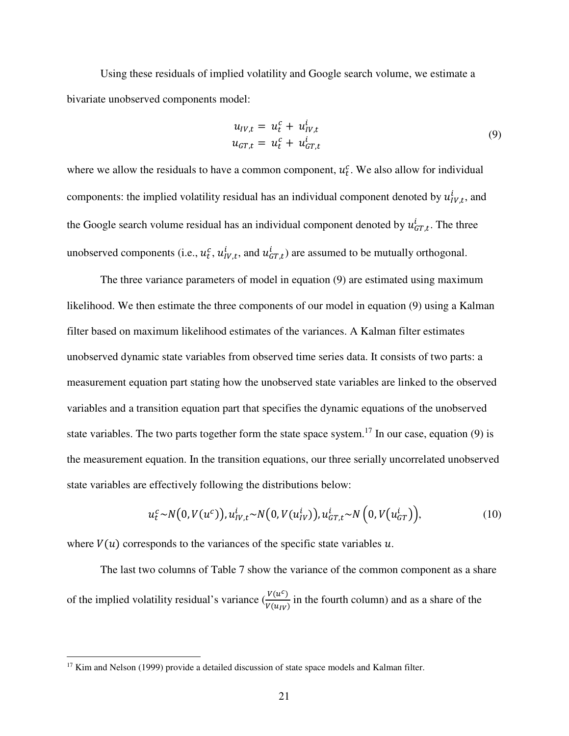Using these residuals of implied volatility and Google search volume, we estimate a bivariate unobserved components model:

$$
u_{IV,t} = u_t^c + u_{IV,t}^i
$$
  
\n
$$
u_{GT,t} = u_t^c + u_{GT,t}^i
$$
\n(9)

where we allow the residuals to have a common component,  $u_t^c$ . We also allow for individual components: the implied volatility residual has an individual component denoted by  $u_{IV,t}^i$ , and the Google search volume residual has an individual component denoted by  $u_{GT,t}^i$ . The three unobserved components (i.e.,  $u_t^c$ ,  $u_{lV,t}^i$ , and  $u_{GT,t}^i$ ) are assumed to be mutually orthogonal.

The three variance parameters of model in equation (9) are estimated using maximum likelihood. We then estimate the three components of our model in equation (9) using a Kalman filter based on maximum likelihood estimates of the variances. A Kalman filter estimates unobserved dynamic state variables from observed time series data. It consists of two parts: a measurement equation part stating how the unobserved state variables are linked to the observed variables and a transition equation part that specifies the dynamic equations of the unobserved state variables. The two parts together form the state space system.<sup>17</sup> In our case, equation (9) is the measurement equation. In the transition equations, our three serially uncorrelated unobserved state variables are effectively following the distributions below:

$$
u_t^c \sim N(0, V(u^c)), u_{IV,t}^i \sim N(0, V(u_{IV}^i)), u_{GT,t}^i \sim N(0, V(u_{GT}^i)),
$$
\n(10)

where  $V(u)$  corresponds to the variances of the specific state variables u.

The last two columns of Table 7 show the variance of the common component as a share of the implied volatility residual's variance  $\left(\frac{V(u^c)}{V(x)}\right)$  $\frac{\partial (u)}{\partial (u_{IV})}$  in the fourth column) and as a share of the

-

 $17$  Kim and Nelson (1999) provide a detailed discussion of state space models and Kalman filter.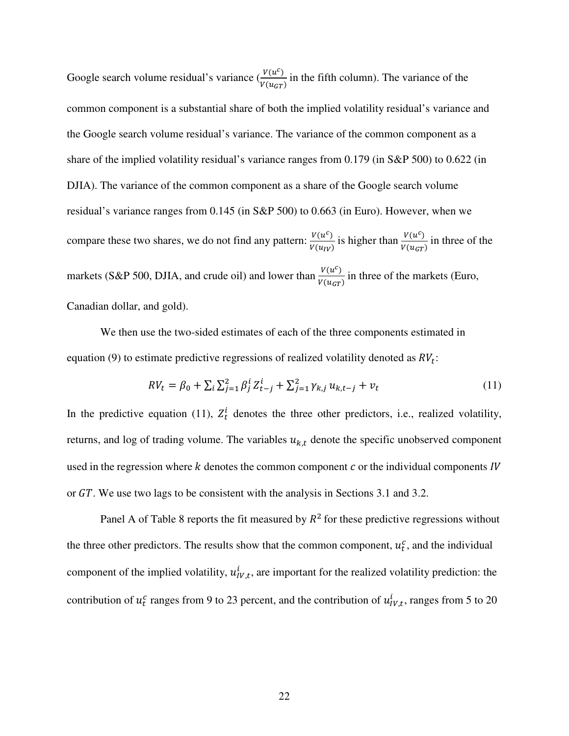Google search volume residual's variance  $\left(\frac{V(u^c)}{V(u)}\right)$  $\frac{\partial (u)}{\partial (u_{GT})}$  in the fifth column). The variance of the common component is a substantial share of both the implied volatility residual's variance and the Google search volume residual's variance. The variance of the common component as a share of the implied volatility residual's variance ranges from 0.179 (in S&P 500) to 0.622 (in DJIA). The variance of the common component as a share of the Google search volume residual's variance ranges from 0.145 (in S&P 500) to 0.663 (in Euro). However, when we compare these two shares, we do not find any pattern:  $\frac{V(u^c)}{V(x)}$  $\frac{V(u^c)}{V(u_{IV})}$  is higher than  $\frac{V(u^c)}{V(u_{GT})}$  $\frac{v(a)}{v(u_{GT})}$  in three of the markets (S&P 500, DJIA, and crude oil) and lower than  $\frac{V(u^c)}{V(u)}$  $\frac{\partial (u)}{\partial (u_{GT})}$  in three of the markets (Euro, Canadian dollar, and gold).

We then use the two-sided estimates of each of the three components estimated in equation (9) to estimate predictive regressions of realized volatility denoted as  $RV_t$ :

$$
RV_t = \beta_0 + \sum_{i} \sum_{j=1}^{2} \beta_j^i Z_{t-j}^i + \sum_{j=1}^{2} \gamma_{k,j} u_{k,t-j} + v_t
$$
\n(11)

In the predictive equation (11),  $Z_t^i$  denotes the three other predictors, i.e., realized volatility, returns, and log of trading volume. The variables  $u_{k,t}$  denote the specific unobserved component used in the regression where  $k$  denotes the common component  $c$  or the individual components  $IV$ or GT. We use two lags to be consistent with the analysis in Sections 3.1 and 3.2.

Panel A of Table 8 reports the fit measured by  $R^2$  for these predictive regressions without the three other predictors. The results show that the common component,  $u_t^c$ , and the individual component of the implied volatility,  $u_{IV,t}^i$ , are important for the realized volatility prediction: the contribution of  $u_t^c$  ranges from 9 to 23 percent, and the contribution of  $u_{IV,t}^i$ , ranges from 5 to 20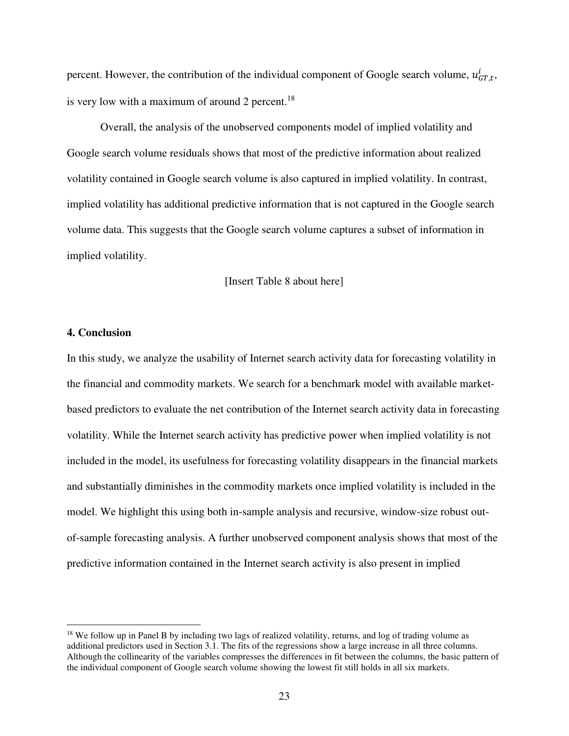percent. However, the contribution of the individual component of Google search volume,  $u_{GT,t}^i$ , is very low with a maximum of around 2 percent. $18$ 

Overall, the analysis of the unobserved components model of implied volatility and Google search volume residuals shows that most of the predictive information about realized volatility contained in Google search volume is also captured in implied volatility. In contrast, implied volatility has additional predictive information that is not captured in the Google search volume data. This suggests that the Google search volume captures a subset of information in implied volatility.

[Insert Table 8 about here]

# **4. Conclusion**

-

In this study, we analyze the usability of Internet search activity data for forecasting volatility in the financial and commodity markets. We search for a benchmark model with available marketbased predictors to evaluate the net contribution of the Internet search activity data in forecasting volatility. While the Internet search activity has predictive power when implied volatility is not included in the model, its usefulness for forecasting volatility disappears in the financial markets and substantially diminishes in the commodity markets once implied volatility is included in the model. We highlight this using both in-sample analysis and recursive, window-size robust outof-sample forecasting analysis. A further unobserved component analysis shows that most of the predictive information contained in the Internet search activity is also present in implied

<sup>&</sup>lt;sup>18</sup> We follow up in Panel B by including two lags of realized volatility, returns, and log of trading volume as additional predictors used in Section 3.1. The fits of the regressions show a large increase in all three columns. Although the collinearity of the variables compresses the differences in fit between the columns, the basic pattern of the individual component of Google search volume showing the lowest fit still holds in all six markets.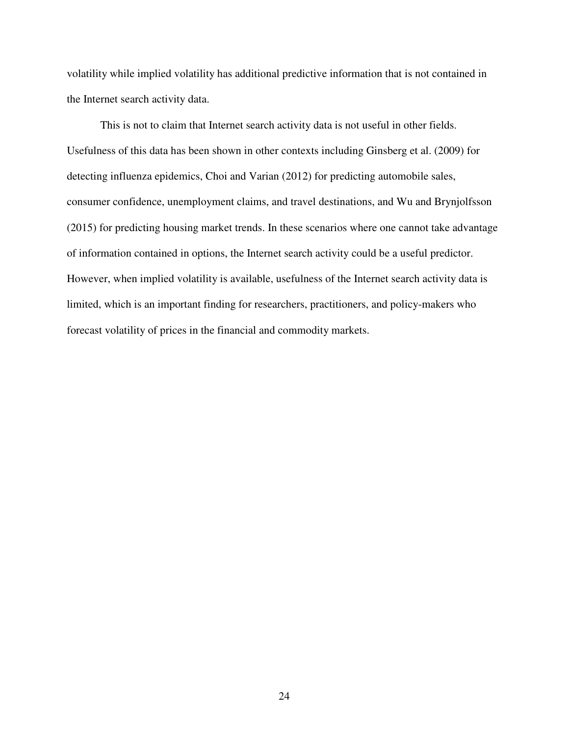volatility while implied volatility has additional predictive information that is not contained in the Internet search activity data.

 This is not to claim that Internet search activity data is not useful in other fields. Usefulness of this data has been shown in other contexts including Ginsberg et al. (2009) for detecting influenza epidemics, Choi and Varian (2012) for predicting automobile sales, consumer confidence, unemployment claims, and travel destinations, and Wu and Brynjolfsson (2015) for predicting housing market trends. In these scenarios where one cannot take advantage of information contained in options, the Internet search activity could be a useful predictor. However, when implied volatility is available, usefulness of the Internet search activity data is limited, which is an important finding for researchers, practitioners, and policy-makers who forecast volatility of prices in the financial and commodity markets.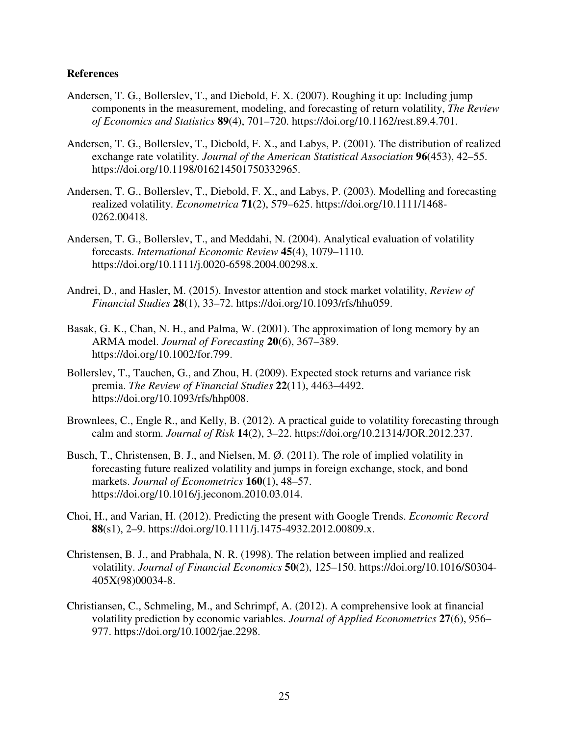## **References**

- Andersen, T. G., Bollerslev, T., and Diebold, F. X. (2007). Roughing it up: Including jump components in the measurement, modeling, and forecasting of return volatility, *The Review of Economics and Statistics* **89**(4), 701–720. https://doi.org/10.1162/rest.89.4.701.
- Andersen, T. G., Bollerslev, T., Diebold, F. X., and Labys, P. (2001). The distribution of realized exchange rate volatility. *Journal of the American Statistical Association* **96**(453), 42–55. https://doi.org/10.1198/016214501750332965.
- Andersen, T. G., Bollerslev, T., Diebold, F. X., and Labys, P. (2003). Modelling and forecasting realized volatility. *Econometrica* **71**(2), 579–625. https://doi.org/10.1111/1468- 0262.00418.
- Andersen, T. G., Bollerslev, T., and Meddahi, N. (2004). Analytical evaluation of volatility forecasts. *International Economic Review* **45**(4), 1079–1110. https://doi.org/10.1111/j.0020-6598.2004.00298.x.
- Andrei, D., and Hasler, M. (2015). Investor attention and stock market volatility, *Review of Financial Studies* **28**(1), 33–72. https://doi.org/10.1093/rfs/hhu059.
- Basak, G. K., Chan, N. H., and Palma, W. (2001). The approximation of long memory by an ARMA model. *Journal of Forecasting* **20**(6), 367–389. https://doi.org/10.1002/for.799.
- Bollerslev, T., Tauchen, G., and Zhou, H. (2009). Expected stock returns and variance risk premia. *The Review of Financial Studies* **22**(11), 4463–4492. https://doi.org/10.1093/rfs/hhp008.
- Brownlees, C., Engle R., and Kelly, B. (2012). A practical guide to volatility forecasting through calm and storm. *Journal of Risk* **14**(2), 3–22. https://doi.org/10.21314/JOR.2012.237.
- Busch, T., Christensen, B. J., and Nielsen, M. Ø. (2011). The role of implied volatility in forecasting future realized volatility and jumps in foreign exchange, stock, and bond markets. *Journal of Econometrics* **160**(1), 48–57. https://doi.org/10.1016/j.jeconom.2010.03.014.
- Choi, H., and Varian, H. (2012). Predicting the present with Google Trends. *Economic Record* **88**(s1), 2–9. https://doi.org/10.1111/j.1475-4932.2012.00809.x.
- Christensen, B. J., and Prabhala, N. R. (1998). The relation between implied and realized volatility. *Journal of Financial Economics* **50**(2), 125–150. https://doi.org/10.1016/S0304- 405X(98)00034-8.
- Christiansen, C., Schmeling, M., and Schrimpf, A. (2012). A comprehensive look at financial volatility prediction by economic variables. *Journal of Applied Econometrics* **27**(6), 956– 977. https://doi.org/10.1002/jae.2298.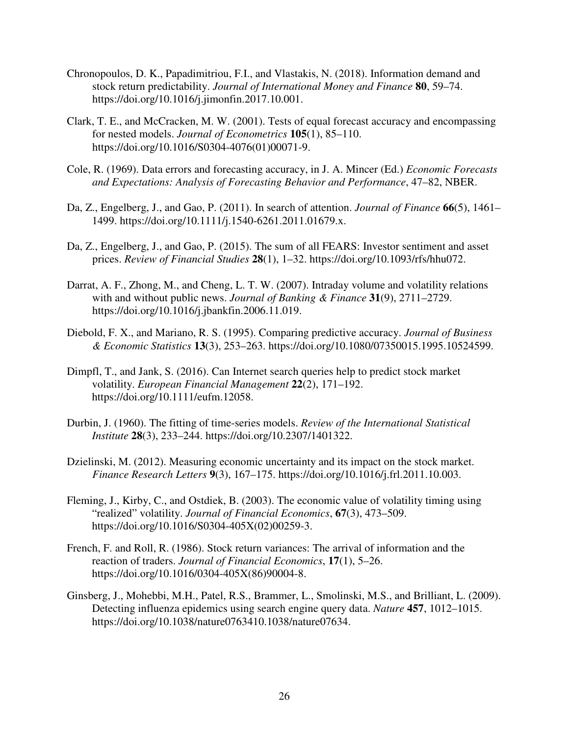- Chronopoulos, D. K., Papadimitriou, F.I., and Vlastakis, N. (2018). Information demand and stock return predictability. *Journal of International Money and Finance* **80**, 59–74. https://doi.org/10.1016/j.jimonfin.2017.10.001.
- Clark, T. E., and McCracken, M. W. (2001). Tests of equal forecast accuracy and encompassing for nested models. *Journal of Econometrics* **105**(1), 85–110. https://doi.org/10.1016/S0304-4076(01)00071-9.
- Cole, R. (1969). Data errors and forecasting accuracy, in J. A. Mincer (Ed.) *Economic Forecasts and Expectations: Analysis of Forecasting Behavior and Performance*, 47–82, NBER.
- Da, Z., Engelberg, J., and Gao, P. (2011). In search of attention. *Journal of Finance* **66**(5), 1461– 1499. https://doi.org/10.1111/j.1540-6261.2011.01679.x.
- Da, Z., Engelberg, J., and Gao, P. (2015). The sum of all FEARS: Investor sentiment and asset prices. *Review of Financial Studies* **28**(1), 1–32. https://doi.org/10.1093/rfs/hhu072.
- Darrat, A. F., Zhong, M., and Cheng, L. T. W. (2007). Intraday volume and volatility relations with and without public news. *Journal of Banking & Finance* **31**(9), 2711–2729. https://doi.org/10.1016/j.jbankfin.2006.11.019.
- Diebold, F. X., and Mariano, R. S. (1995). Comparing predictive accuracy. *Journal of Business & Economic Statistics* **13**(3), 253–263. https://doi.org/10.1080/07350015.1995.10524599.
- Dimpfl, T., and Jank, S. (2016). Can Internet search queries help to predict stock market volatility. *European Financial Management* **22**(2), 171–192. https://doi.org/10.1111/eufm.12058.
- Durbin, J. (1960). The fitting of time-series models. *Review of the International Statistical Institute* **28**(3), 233–244. https://doi.org/10.2307/1401322.
- Dzielinski, M. (2012). Measuring economic uncertainty and its impact on the stock market. *Finance Research Letters* **9**(3), 167–175. https://doi.org/10.1016/j.frl.2011.10.003.
- Fleming, J., Kirby, C., and Ostdiek, B. (2003). The economic value of volatility timing using "realized" volatility. *Journal of Financial Economics*, **67**(3), 473–509. https://doi.org/10.1016/S0304-405X(02)00259-3.
- French, F. and Roll, R. (1986). Stock return variances: The arrival of information and the reaction of traders. *Journal of Financial Economics*, **17**(1), 5–26. https://doi.org/10.1016/0304-405X(86)90004-8.
- Ginsberg, J., Mohebbi, M.H., Patel, R.S., Brammer, L., Smolinski, M.S., and Brilliant, L. (2009). Detecting influenza epidemics using search engine query data. *Nature* **457**, 1012–1015. https://doi.org/10.1038/nature0763410.1038/nature07634.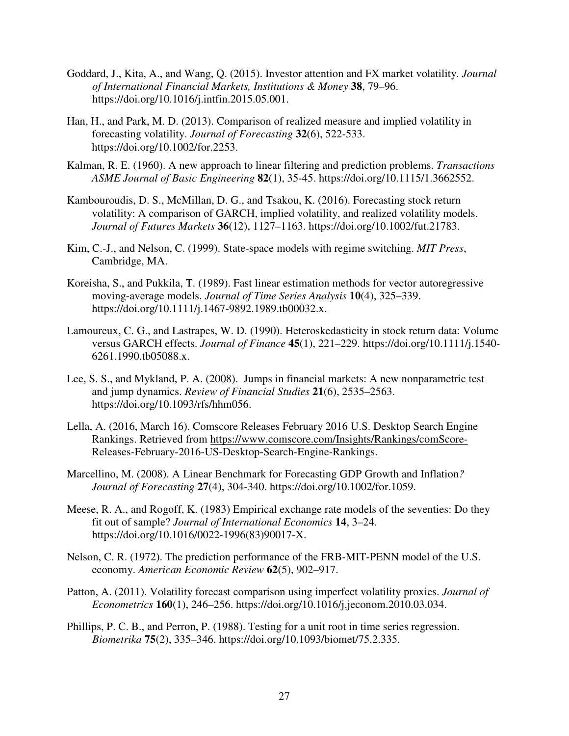- Goddard, J., Kita, A., and Wang, Q. (2015). Investor attention and FX market volatility. *Journal of International Financial Markets, Institutions & Money* **38**, 79–96. https://doi.org/10.1016/j.intfin.2015.05.001.
- Han, H., and Park, M. D. (2013). Comparison of realized measure and implied volatility in forecasting volatility. *Journal of Forecasting* **32**(6), 522-533. https://doi.org/10.1002/for.2253.
- Kalman, R. E. (1960). A new approach to linear filtering and prediction problems. *Transactions ASME Journal of Basic Engineering* **82**(1), 35-45. https://doi.org/10.1115/1.3662552.
- Kambouroudis, D. S., McMillan, D. G., and Tsakou, K. (2016). Forecasting stock return volatility: A comparison of GARCH, implied volatility, and realized volatility models. *Journal of Futures Markets* **36**(12), 1127–1163. https://doi.org/10.1002/fut.21783.
- Kim, C.-J., and Nelson, C. (1999). State-space models with regime switching. *MIT Press*, Cambridge, MA.
- Koreisha, S., and Pukkila, T. (1989). Fast linear estimation methods for vector autoregressive moving-average models. *Journal of Time Series Analysis* **10**(4), 325–339. https://doi.org/10.1111/j.1467-9892.1989.tb00032.x.
- Lamoureux, C. G., and Lastrapes, W. D. (1990). Heteroskedasticity in stock return data: Volume versus GARCH effects. *Journal of Finance* **45**(1), 221–229. https://doi.org/10.1111/j.1540- 6261.1990.tb05088.x.
- Lee, S. S., and Mykland, P. A. (2008). Jumps in financial markets: A new nonparametric test and jump dynamics. *Review of Financial Studies* **21**(6), 2535–2563. https://doi.org/10.1093/rfs/hhm056.
- Lella, A. (2016, March 16). Comscore Releases February 2016 U.S. Desktop Search Engine Rankings. Retrieved from https://www.comscore.com/Insights/Rankings/comScore-Releases-February-2016-US-Desktop-Search-Engine-Rankings.
- Marcellino, M. (2008). A Linear Benchmark for Forecasting GDP Growth and Inflation*? Journal of Forecasting* **27**(4), 304-340. https://doi.org/10.1002/for.1059.
- Meese, R. A., and Rogoff, K. (1983) Empirical exchange rate models of the seventies: Do they fit out of sample? *Journal of International Economics* **14**, 3–24. https://doi.org/10.1016/0022-1996(83)90017-X.
- Nelson, C. R. (1972). The prediction performance of the FRB-MIT-PENN model of the U.S. economy. *American Economic Review* **62**(5), 902–917.
- Patton, A. (2011). Volatility forecast comparison using imperfect volatility proxies. *Journal of Econometrics* **160**(1), 246–256. https://doi.org/10.1016/j.jeconom.2010.03.034.
- Phillips, P. C. B., and Perron, P. (1988). Testing for a unit root in time series regression. *Biometrika* **75**(2), 335–346. https://doi.org/10.1093/biomet/75.2.335.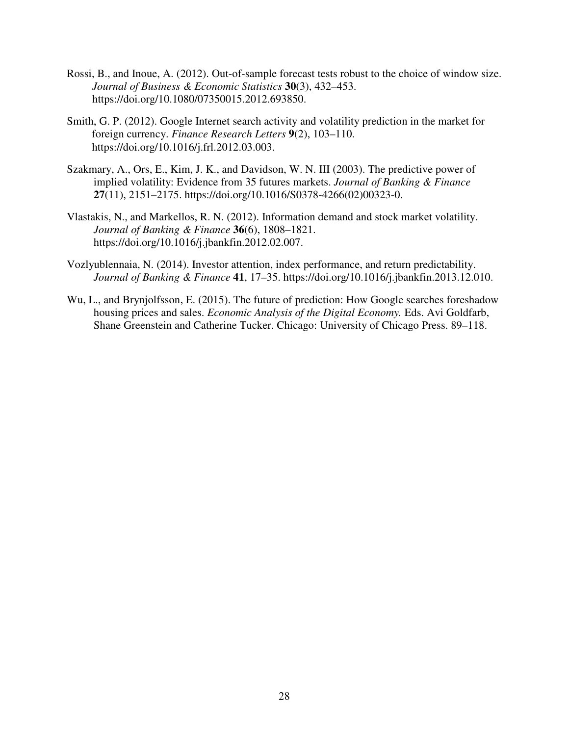- Rossi, B., and Inoue, A. (2012). Out-of-sample forecast tests robust to the choice of window size. *Journal of Business & Economic Statistics* **30**(3), 432–453. https://doi.org/10.1080/07350015.2012.693850.
- Smith, G. P. (2012). Google Internet search activity and volatility prediction in the market for foreign currency. *Finance Research Letters* **9**(2), 103–110. https://doi.org/10.1016/j.frl.2012.03.003.
- Szakmary, A., Ors, E., Kim, J. K., and Davidson, W. N. III (2003). The predictive power of implied volatility: Evidence from 35 futures markets. *Journal of Banking & Finance* **27**(11), 2151–2175. https://doi.org/10.1016/S0378-4266(02)00323-0.
- Vlastakis, N., and Markellos, R. N. (2012). Information demand and stock market volatility. *Journal of Banking & Finance* **36**(6), 1808–1821. https://doi.org/10.1016/j.jbankfin.2012.02.007.
- Vozlyublennaia, N. (2014). Investor attention, index performance, and return predictability. *Journal of Banking & Finance* **41**, 17–35. https://doi.org/10.1016/j.jbankfin.2013.12.010.
- Wu, L., and Brynjolfsson, E. (2015). The future of prediction: How Google searches foreshadow housing prices and sales. *Economic Analysis of the Digital Economy.* Eds. Avi Goldfarb, Shane Greenstein and Catherine Tucker. Chicago: University of Chicago Press. 89–118.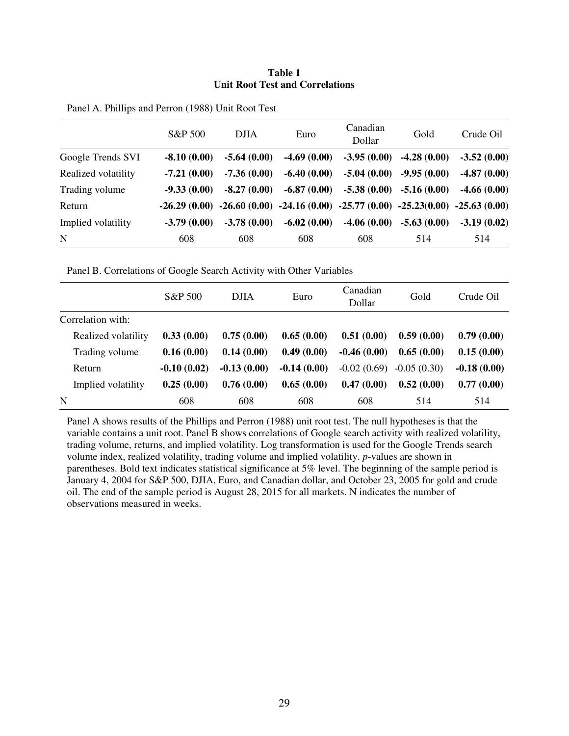#### **Table 1 Unit Root Test and Correlations**

|                     | S&P 500       | <b>DJIA</b>   | Euro          | Canadian<br>Dollar                                                                        | Gold                      | Crude Oil     |
|---------------------|---------------|---------------|---------------|-------------------------------------------------------------------------------------------|---------------------------|---------------|
| Google Trends SVI   | $-8.10(0.00)$ | $-5.64(0.00)$ | $-4.69(0.00)$ | $-3.95(0.00)$                                                                             | $-4.28(0.00)$             | $-3.52(0.00)$ |
| Realized volatility | $-7.21(0.00)$ | $-7.36(0.00)$ | $-6.40(0.00)$ | $-5.04(0.00)$                                                                             | $-9.95(0.00)$             | $-4.87(0.00)$ |
| Trading volume      | $-9.33(0.00)$ | $-8.27(0.00)$ | $-6.87(0.00)$ |                                                                                           | $-5.38(0.00) -5.16(0.00)$ | $-4.66(0.00)$ |
| Return              |               |               |               | $-26.29(0.00)$ $-26.60(0.00)$ $-24.16(0.00)$ $-25.77(0.00)$ $-25.23(0.00)$ $-25.63(0.00)$ |                           |               |
| Implied volatility  | $-3.79(0.00)$ | $-3.78(0.00)$ | $-6.02(0.00)$ | $-4.06(0.00)$                                                                             | $-5.63(0.00)$             | $-3.19(0.02)$ |
| N                   | 608           | 608           | 608           | 608                                                                                       | 514                       | 514           |

Panel B. Correlations of Google Search Activity with Other Variables

|                     | S&P 500       | <b>DJIA</b>   | Euro          | Canadian<br>Dollar | Gold          | Crude Oil     |
|---------------------|---------------|---------------|---------------|--------------------|---------------|---------------|
| Correlation with:   |               |               |               |                    |               |               |
| Realized volatility | 0.33(0.00)    | 0.75(0.00)    | 0.65(0.00)    | 0.51(0.00)         | 0.59(0.00)    | 0.79(0.00)    |
| Trading volume      | 0.16(0.00)    | 0.14(0.00)    | 0.49(0.00)    | $-0.46(0.00)$      | 0.65(0.00)    | 0.15(0.00)    |
| Return              | $-0.10(0.02)$ | $-0.13(0.00)$ | $-0.14(0.00)$ | $-0.02(0.69)$      | $-0.05(0.30)$ | $-0.18(0.00)$ |
| Implied volatility  | 0.25(0.00)    | 0.76(0.00)    | 0.65(0.00)    | 0.47(0.00)         | 0.52(0.00)    | 0.77(0.00)    |
| N                   | 608           | 608           | 608           | 608                | 514           | 514           |

Panel A shows results of the Phillips and Perron (1988) unit root test. The null hypotheses is that the variable contains a unit root. Panel B shows correlations of Google search activity with realized volatility, trading volume, returns, and implied volatility. Log transformation is used for the Google Trends search volume index, realized volatility, trading volume and implied volatility. *p*-values are shown in parentheses. Bold text indicates statistical significance at 5% level. The beginning of the sample period is January 4, 2004 for S&P 500, DJIA, Euro, and Canadian dollar, and October 23, 2005 for gold and crude oil. The end of the sample period is August 28, 2015 for all markets. N indicates the number of observations measured in weeks.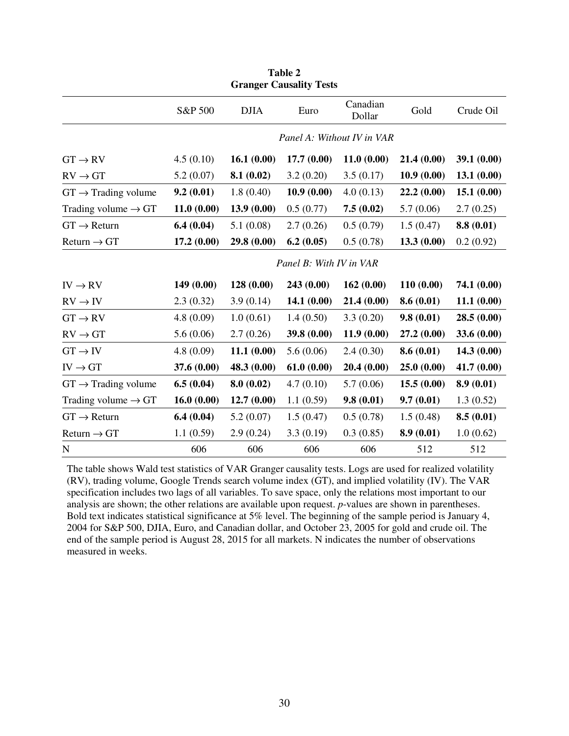| <b>Granger Causality Tests</b>  |                            |             |                         |                    |             |             |  |  |
|---------------------------------|----------------------------|-------------|-------------------------|--------------------|-------------|-------------|--|--|
|                                 | S&P 500                    | <b>DJIA</b> | Euro                    | Canadian<br>Dollar | Gold        | Crude Oil   |  |  |
|                                 | Panel A: Without IV in VAR |             |                         |                    |             |             |  |  |
| $GT \rightarrow RV$             | 4.5(0.10)                  | 16.1(0.00)  | 17.7(0.00)              | 11.0(0.00)         | 21.4(0.00)  | 39.1(0.00)  |  |  |
| $RV \rightarrow GT$             | 5.2(0.07)                  | 8.1(0.02)   | 3.2(0.20)               | 3.5(0.17)          | 10.9(0.00)  | 13.1(0.00)  |  |  |
| $GT \rightarrow$ Trading volume | 9.2(0.01)                  | 1.8(0.40)   | 10.9(0.00)              | 4.0(0.13)          | 22.2(0.00)  | 15.1(0.00)  |  |  |
| Trading volume $\rightarrow$ GT | 11.0(0.00)                 | 13.9(0.00)  | 0.5(0.77)               | 7.5(0.02)          | 5.7(0.06)   | 2.7(0.25)   |  |  |
| $GT \rightarrow Return$         | 6.4(0.04)                  | 5.1(0.08)   | 2.7(0.26)               | 0.5(0.79)          | 1.5(0.47)   | 8.8(0.01)   |  |  |
| $Return \rightarrow GT$         | 17.2(0.00)                 | 29.8(0.00)  | 6.2(0.05)               | 0.5(0.78)          | 13.3(0.00)  | 0.2(0.92)   |  |  |
|                                 |                            |             | Panel B: With IV in VAR |                    |             |             |  |  |
| $IV \rightarrow RV$             | 149(0.00)                  | 128(0.00)   | 243 (0.00)              | 162(0.00)          | 110(0.00)   | 74.1 (0.00) |  |  |
| $RV \rightarrow IV$             | 2.3(0.32)                  | 3.9(0.14)   | 14.1(0.00)              | 21.4(0.00)         | 8.6(0.01)   | 11.1(0.00)  |  |  |
| $GT \rightarrow RV$             | 4.8(0.09)                  | 1.0(0.61)   | 1.4(0.50)               | 3.3(0.20)          | 9.8(0.01)   | 28.5(0.00)  |  |  |
| $RV \rightarrow GT$             | 5.6(0.06)                  | 2.7(0.26)   | 39.8 (0.00)             | 11.9(0.00)         | 27.2 (0.00) | 33.6 (0.00) |  |  |
| $GT \rightarrow IV$             | 4.8(0.09)                  | 11.1(0.00)  | 5.6(0.06)               | 2.4(0.30)          | 8.6(0.01)   | 14.3(0.00)  |  |  |
| $IV \rightarrow GT$             | 37.6 (0.00)                | 48.3 (0.00) | 61.0(0.00)              | 20.4(0.00)         | 25.0(0.00)  | 41.7(0.00)  |  |  |
| $GT \rightarrow$ Trading volume | 6.5(0.04)                  | 8.0(0.02)   | 4.7(0.10)               | 5.7(0.06)          | 15.5(0.00)  | 8.9(0.01)   |  |  |
| Trading volume $\rightarrow$ GT | 16.0(0.00)                 | 12.7(0.00)  | 1.1(0.59)               | 9.8(0.01)          | 9.7(0.01)   | 1.3(0.52)   |  |  |
| $GT \rightarrow Return$         | 6.4(0.04)                  | 5.2(0.07)   | 1.5(0.47)               | 0.5(0.78)          | 1.5(0.48)   | 8.5(0.01)   |  |  |
| $Return \rightarrow GT$         | 1.1(0.59)                  | 2.9(0.24)   | 3.3(0.19)               | 0.3(0.85)          | 8.9(0.01)   | 1.0(0.62)   |  |  |
| $\mathbf N$                     | 606                        | 606         | 606                     | 606                | 512         | 512         |  |  |

**Table 2** 

The table shows Wald test statistics of VAR Granger causality tests. Logs are used for realized volatility (RV), trading volume, Google Trends search volume index (GT), and implied volatility (IV). The VAR specification includes two lags of all variables. To save space, only the relations most important to our analysis are shown; the other relations are available upon request. *p*-values are shown in parentheses. Bold text indicates statistical significance at 5% level. The beginning of the sample period is January 4, 2004 for S&P 500, DJIA, Euro, and Canadian dollar, and October 23, 2005 for gold and crude oil. The end of the sample period is August 28, 2015 for all markets. N indicates the number of observations measured in weeks.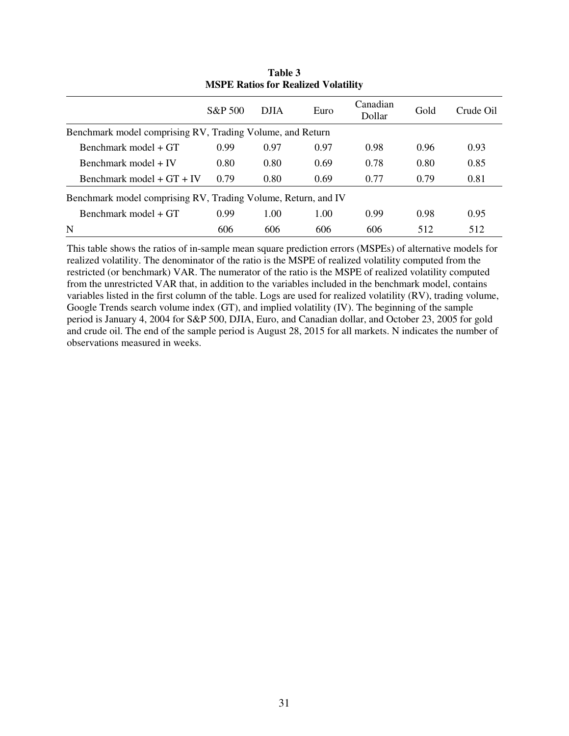| <b>NOTE RAHOS TOI RUALIZU VOIAUHU</b>                         |         |             |      |                    |      |           |  |
|---------------------------------------------------------------|---------|-------------|------|--------------------|------|-----------|--|
|                                                               | S&P 500 | <b>DJIA</b> | Euro | Canadian<br>Dollar | Gold | Crude Oil |  |
| Benchmark model comprising RV, Trading Volume, and Return     |         |             |      |                    |      |           |  |
| Benchmark model + GT                                          | 0.99    | 0.97        | 0.97 | 0.98               | 0.96 | 0.93      |  |
| Benchmark model + IV                                          | 0.80    | 0.80        | 0.69 | 0.78               | 0.80 | 0.85      |  |
| Benchmark model $+ GT + IV$                                   | 0.79    | 0.80        | 0.69 | 0.77               | 0.79 | 0.81      |  |
| Benchmark model comprising RV, Trading Volume, Return, and IV |         |             |      |                    |      |           |  |
| Benchmark model + GT                                          | 0.99    | 1.00        | 1.00 | 0.99               | 0.98 | 0.95      |  |
| N                                                             | 606     | 606         | 606  | 606                | 512  | 512       |  |

**Table 3 MSPE Ratios for Realized Volatility** 

This table shows the ratios of in-sample mean square prediction errors (MSPEs) of alternative models for realized volatility. The denominator of the ratio is the MSPE of realized volatility computed from the restricted (or benchmark) VAR. The numerator of the ratio is the MSPE of realized volatility computed from the unrestricted VAR that, in addition to the variables included in the benchmark model, contains variables listed in the first column of the table. Logs are used for realized volatility (RV), trading volume, Google Trends search volume index (GT), and implied volatility (IV). The beginning of the sample period is January 4, 2004 for S&P 500, DJIA, Euro, and Canadian dollar, and October 23, 2005 for gold and crude oil. The end of the sample period is August 28, 2015 for all markets. N indicates the number of observations measured in weeks.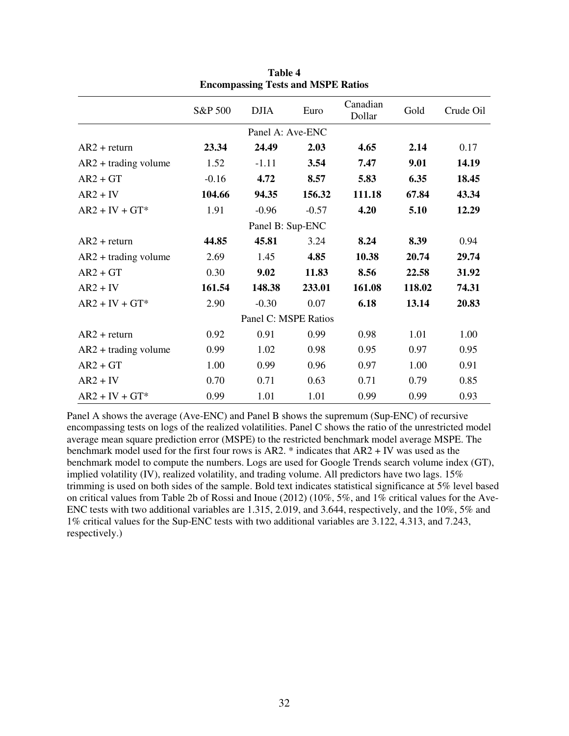|                        | S&P 500 | <b>DJIA</b>          | Euro    | Canadian<br>Dollar | Gold   | Crude Oil |
|------------------------|---------|----------------------|---------|--------------------|--------|-----------|
|                        |         | Panel A: Ave-ENC     |         |                    |        |           |
| $AR2 + return$         | 23.34   | 24.49                | 2.03    | 4.65               | 2.14   | 0.17      |
| $AR2 + trading$ volume | 1.52    | $-1.11$              | 3.54    | 7.47               | 9.01   | 14.19     |
| $AR2 + GT$             | $-0.16$ | 4.72                 | 8.57    | 5.83               | 6.35   | 18.45     |
| $AR2 + IV$             | 104.66  | 94.35                | 156.32  | 111.18             | 67.84  | 43.34     |
| $AR2 + IV + GT^*$      | 1.91    | $-0.96$              | $-0.57$ | 4.20               | 5.10   | 12.29     |
|                        |         | Panel B: Sup-ENC     |         |                    |        |           |
| $AR2 + return$         | 44.85   | 45.81                | 3.24    | 8.24               | 8.39   | 0.94      |
| $AR2 + trading$ volume | 2.69    | 1.45                 | 4.85    | 10.38              | 20.74  | 29.74     |
| $AR2 + GT$             | 0.30    | 9.02                 | 11.83   | 8.56               | 22.58  | 31.92     |
| $AR2 + IV$             | 161.54  | 148.38               | 233.01  | 161.08             | 118.02 | 74.31     |
| $AR2 + IV + GT^*$      | 2.90    | $-0.30$              | 0.07    | 6.18               | 13.14  | 20.83     |
|                        |         | Panel C: MSPE Ratios |         |                    |        |           |
| $AR2 + return$         | 0.92    | 0.91                 | 0.99    | 0.98               | 1.01   | 1.00      |
| $AR2 + trading$ volume | 0.99    | 1.02                 | 0.98    | 0.95               | 0.97   | 0.95      |
| $AR2 + GT$             | 1.00    | 0.99                 | 0.96    | 0.97               | 1.00   | 0.91      |
| $AR2 + IV$             | 0.70    | 0.71                 | 0.63    | 0.71               | 0.79   | 0.85      |
| $AR2 + IV + GT^*$      | 0.99    | 1.01                 | 1.01    | 0.99               | 0.99   | 0.93      |

**Table 4 Encompassing Tests and MSPE Ratios** 

Panel A shows the average (Ave-ENC) and Panel B shows the supremum (Sup-ENC) of recursive encompassing tests on logs of the realized volatilities. Panel C shows the ratio of the unrestricted model average mean square prediction error (MSPE) to the restricted benchmark model average MSPE. The benchmark model used for the first four rows is AR2. \* indicates that AR2 + IV was used as the benchmark model to compute the numbers. Logs are used for Google Trends search volume index (GT), implied volatility (IV), realized volatility, and trading volume. All predictors have two lags. 15% trimming is used on both sides of the sample. Bold text indicates statistical significance at 5% level based on critical values from Table 2b of Rossi and Inoue (2012) (10%, 5%, and 1% critical values for the Ave-ENC tests with two additional variables are 1.315, 2.019, and 3.644, respectively, and the 10%, 5% and 1% critical values for the Sup-ENC tests with two additional variables are 3.122, 4.313, and 7.243, respectively.)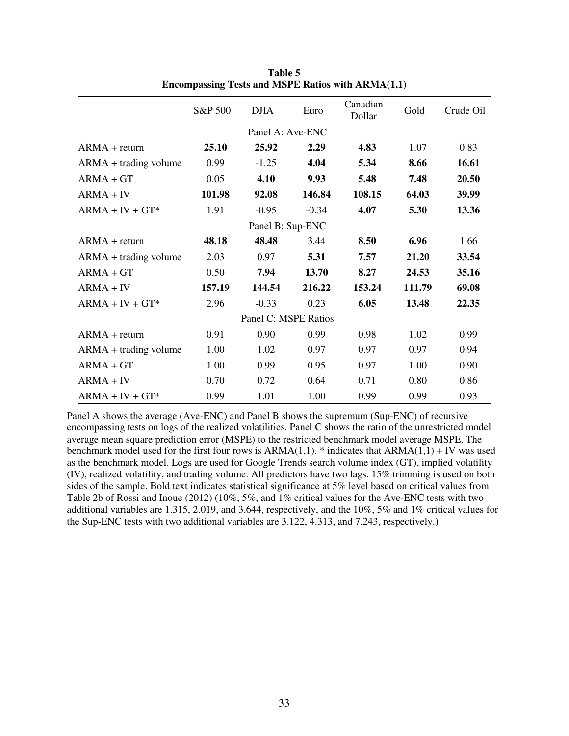|                         | S&P 500 | <b>DJIA</b>          | Euro    | Canadian<br>Dollar | Gold   | Crude Oil |
|-------------------------|---------|----------------------|---------|--------------------|--------|-----------|
|                         |         | Panel A: Ave-ENC     |         |                    |        |           |
| $ARMA + return$         | 25.10   | 25.92                | 2.29    | 4.83               | 1.07   | 0.83      |
| ARMA + trading volume   | 0.99    | $-1.25$              | 4.04    | 5.34               | 8.66   | 16.61     |
| $ARMA + GT$             | 0.05    | 4.10                 | 9.93    | 5.48               | 7.48   | 20.50     |
| $ARMA + IV$             | 101.98  | 92.08                | 146.84  | 108.15             | 64.03  | 39.99     |
| $ARMA + IV + GT*$       | 1.91    | $-0.95$              | $-0.34$ | 4.07               | 5.30   | 13.36     |
|                         |         | Panel B: Sup-ENC     |         |                    |        |           |
| $ARMA + return$         | 48.18   | 48.48                | 3.44    | 8.50               | 6.96   | 1.66      |
| ARMA + trading volume   | 2.03    | 0.97                 | 5.31    | 7.57               | 21.20  | 33.54     |
| $ARMA + GT$             | 0.50    | 7.94                 | 13.70   | 8.27               | 24.53  | 35.16     |
| $ARMA + IV$             | 157.19  | 144.54               | 216.22  | 153.24             | 111.79 | 69.08     |
| $ARMA + IV + GT*$       | 2.96    | $-0.33$              | 0.23    | 6.05               | 13.48  | 22.35     |
|                         |         | Panel C: MSPE Ratios |         |                    |        |           |
| $ARMA + return$         | 0.91    | 0.90                 | 0.99    | 0.98               | 1.02   | 0.99      |
| $ARMA + trading volume$ | 1.00    | 1.02                 | 0.97    | 0.97               | 0.97   | 0.94      |
| $ARMA + GT$             | 1.00    | 0.99                 | 0.95    | 0.97               | 1.00   | 0.90      |
| $ARMA + IV$             | 0.70    | 0.72                 | 0.64    | 0.71               | 0.80   | 0.86      |
| $ARMA + IV + GT*$       | 0.99    | 1.01                 | 1.00    | 0.99               | 0.99   | 0.93      |

**Table 5 Encompassing Tests and MSPE Ratios with ARMA(1,1)** 

Panel A shows the average (Ave-ENC) and Panel B shows the supremum (Sup-ENC) of recursive encompassing tests on logs of the realized volatilities. Panel C shows the ratio of the unrestricted model average mean square prediction error (MSPE) to the restricted benchmark model average MSPE. The benchmark model used for the first four rows is  $ARMA(1,1)$ . \* indicates that  $ARMA(1,1)$  + IV was used as the benchmark model. Logs are used for Google Trends search volume index (GT), implied volatility (IV), realized volatility, and trading volume. All predictors have two lags. 15% trimming is used on both sides of the sample. Bold text indicates statistical significance at 5% level based on critical values from Table 2b of Rossi and Inoue (2012) (10%, 5%, and 1% critical values for the Ave-ENC tests with two additional variables are 1.315, 2.019, and 3.644, respectively, and the 10%, 5% and 1% critical values for the Sup-ENC tests with two additional variables are 3.122, 4.313, and 7.243, respectively.)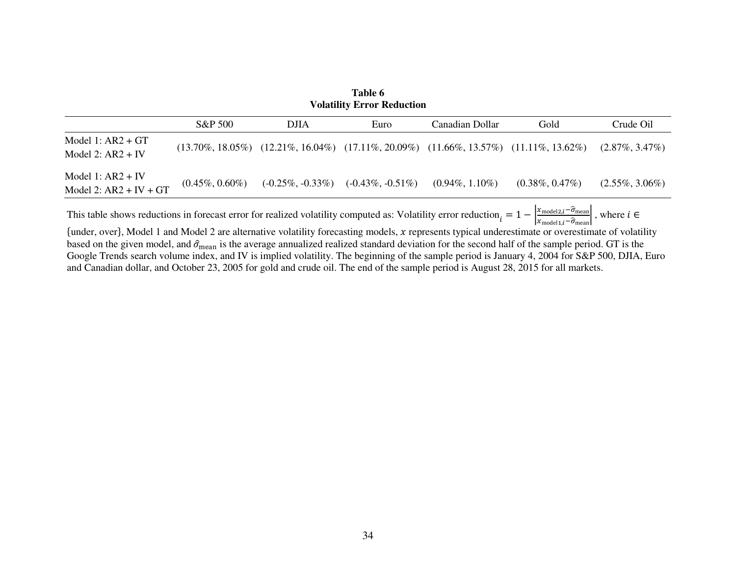| Table 6<br><b>Volatility Error Reduction</b>    |                    |             |                                                                                                          |                    |                    |                    |  |
|-------------------------------------------------|--------------------|-------------|----------------------------------------------------------------------------------------------------------|--------------------|--------------------|--------------------|--|
|                                                 | S&P 500            | <b>DJIA</b> | Euro                                                                                                     | Canadian Dollar    | Gold               | Crude Oil          |  |
| Model 1: $AR2 + GT$<br>Model 2: $AR2 + IV$      |                    |             | $(13.70\%, 18.05\%)$ $(12.21\%, 16.04\%)$ $(17.11\%, 20.09\%)$ $(11.66\%, 13.57\%)$ $(11.11\%, 13.62\%)$ |                    |                    | $(2.87\%, 3.47\%)$ |  |
| Model 1: $AR2 + IV$<br>Model 2: $AR2 + IV + GT$ | $(0.45\%, 0.60\%)$ |             | $(-0.25\%, -0.33\%)$ $(-0.43\%, -0.51\%)$                                                                | $(0.94\%, 1.10\%)$ | $(0.38\%, 0.47\%)$ | $(2.55\%, 3.06\%)$ |  |

This table shows reductions in forecast error for realized volatility computed as: Volatility error reduction  $\frac{x_{\text{model2},i} - \hat{\sigma}_{\text{mean}}}{x_{\text{model1},i} - \hat{\sigma}_{\text{mean}}},$  where  $i \in$ 

 ${under, over}$ , Model 1 and Model 2 are alternative volatility forecasting models, x represents typical underestimate or overestimate of volatility based on the given model, and  $\hat{\sigma}_{mean}$  is the average annualized realized standard deviation for the second half of the sample period. GT is the Google Trends search volume index, and IV is implied volatility. The beginning of the sample period is January 4, 2004 for S&P 500, DJIA, Euro and Canadian dollar, and October 23, 2005 for gold and crude oil. The end of the sample period is August 28, 2015 for all markets.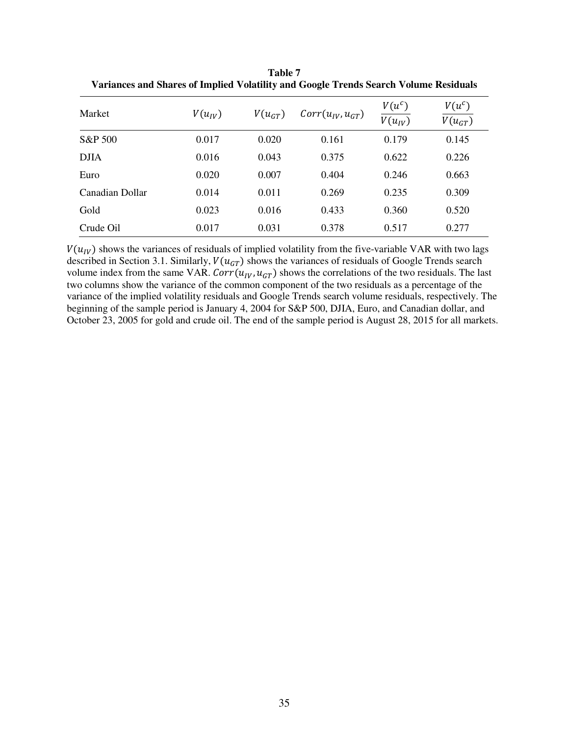| Market          | $V(u_{IV})$ | $V(u_{GT})$ | $Corr(u_{IV}, u_{GT})$ | $V(u^c)$<br>$V(u_{IV})$ | $V(u^c)$<br>$V(u_{GT})$ |
|-----------------|-------------|-------------|------------------------|-------------------------|-------------------------|
| S&P 500         | 0.017       | 0.020       | 0.161                  | 0.179                   | 0.145                   |
| <b>DJIA</b>     | 0.016       | 0.043       | 0.375                  | 0.622                   | 0.226                   |
| Euro            | 0.020       | 0.007       | 0.404                  | 0.246                   | 0.663                   |
| Canadian Dollar | 0.014       | 0.011       | 0.269                  | 0.235                   | 0.309                   |
| Gold            | 0.023       | 0.016       | 0.433                  | 0.360                   | 0.520                   |
| Crude Oil       | 0.017       | 0.031       | 0.378                  | 0.517                   | 0.277                   |

**Table 7 Variances and Shares of Implied Volatility and Google Trends Search Volume Residuals** 

 $V(u_{IV})$  shows the variances of residuals of implied volatility from the five-variable VAR with two lags described in Section 3.1. Similarly,  $V(u_{GT})$  shows the variances of residuals of Google Trends search volume index from the same VAR.  $Corr(u_{IV}, u_{GT})$  shows the correlations of the two residuals. The last two columns show the variance of the common component of the two residuals as a percentage of the variance of the implied volatility residuals and Google Trends search volume residuals, respectively. The beginning of the sample period is January 4, 2004 for S&P 500, DJIA, Euro, and Canadian dollar, and October 23, 2005 for gold and crude oil. The end of the sample period is August 28, 2015 for all markets.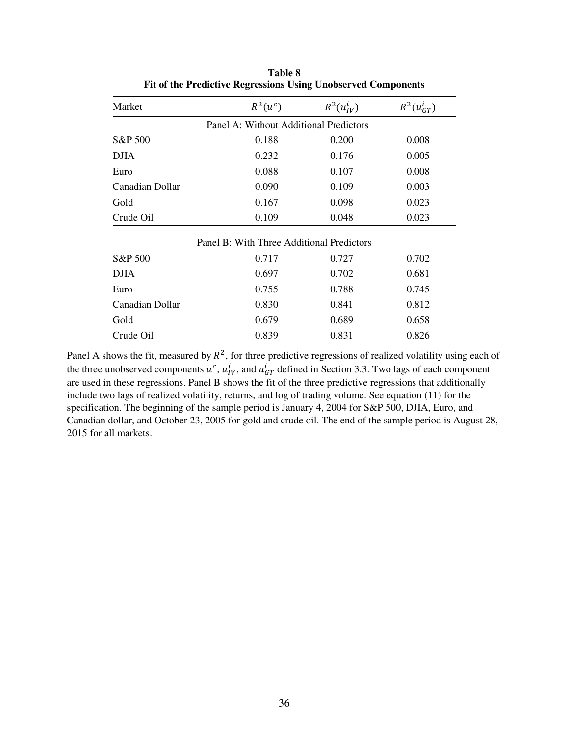| Market          | $R^2(u^c)$                                | $R^2(u_{IV}^i)$ | $R^2(u_{GT}^i)$ |
|-----------------|-------------------------------------------|-----------------|-----------------|
|                 | Panel A: Without Additional Predictors    |                 |                 |
| S&P 500         | 0.188                                     | 0.200           | 0.008           |
| <b>DJIA</b>     | 0.232                                     | 0.176           | 0.005           |
| Euro            | 0.088                                     | 0.107           | 0.008           |
| Canadian Dollar | 0.090                                     | 0.109           | 0.003           |
| Gold            | 0.167                                     | 0.098           | 0.023           |
| Crude Oil       | 0.109                                     | 0.048           | 0.023           |
|                 | Panel B: With Three Additional Predictors |                 |                 |
| S&P 500         | 0.717                                     | 0.727           | 0.702           |
| <b>DJIA</b>     | 0.697                                     | 0.702           | 0.681           |
| Euro            | 0.755                                     | 0.788           | 0.745           |
| Canadian Dollar | 0.830                                     | 0.841           | 0.812           |
| Gold            | 0.679                                     | 0.689           | 0.658           |
| Crude Oil       | 0.839                                     | 0.831           | 0.826           |

**Table 8 Fit of the Predictive Regressions Using Unobserved Components** 

Panel A shows the fit, measured by  $R^2$ , for three predictive regressions of realized volatility using each of the three unobserved components  $u^c$ ,  $u^i_{IV}$ , and  $u^i_{GT}$  defined in Section 3.3. Two lags of each component are used in these regressions. Panel B shows the fit of the three predictive regressions that additionally include two lags of realized volatility, returns, and log of trading volume. See equation (11) for the specification. The beginning of the sample period is January 4, 2004 for S&P 500, DJIA, Euro, and Canadian dollar, and October 23, 2005 for gold and crude oil. The end of the sample period is August 28, 2015 for all markets.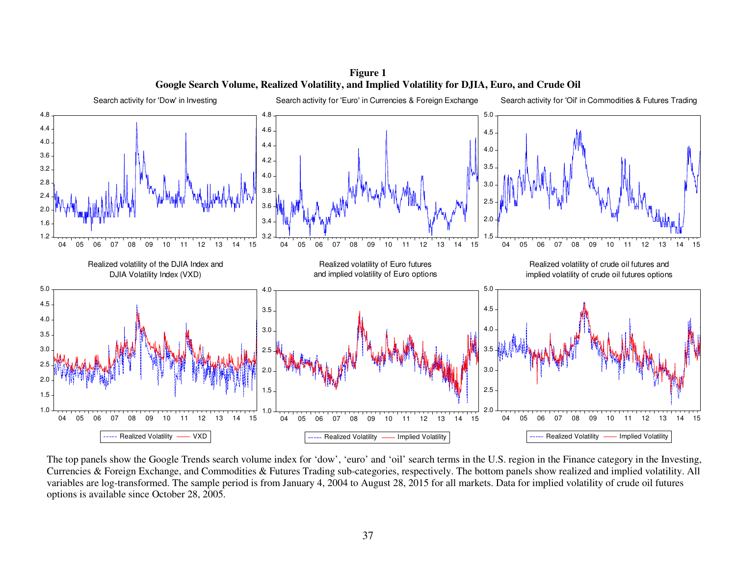

**Figure 1 Google Search Volume, Realized Volatility, and Implied Volatility for DJIA, Euro, and Crude Oil** 

The top panels show the Google Trends search volume index for 'dow', 'euro' and 'oil' search terms in the U.S. region in the Finance category in the Investing, Currencies & Foreign Exchange, and Commodities & Futures Trading sub-categories, respectively. The bottom panels show realized and implied volatility. All variables are log-transformed. The sample period is from January 4, 2004 to August 28, 2015 for all markets. Data for implied volatility of crude oil futures options is available since October 28, 2005.